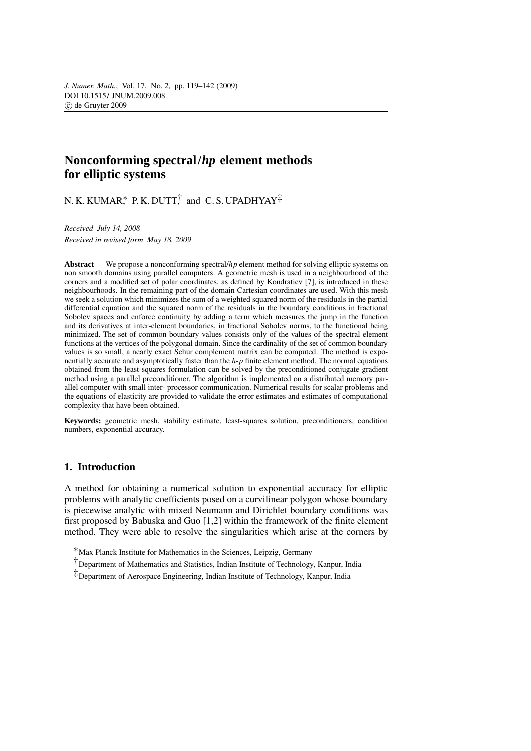# **Nonconforming spectral/***hp* **element methods for elliptic systems**

N. K. KUMAR<sup>\*</sup>, P. K. DUTT $\dot{\dagger}$  and C. S. UPADHYAY<sup> $\ddagger$ </sup>

*Received July 14, 2008 Received in revised form May 18, 2009*

**Abstract** — We propose a nonconforming spectral/*hp* element method for solving elliptic systems on non smooth domains using parallel computers. A geometric mesh is used in a neighbourhood of the corners and a modified set of polar coordinates, as defined by Kondratiev [7], is introduced in these neighbourhoods. In the remaining part of the domain Cartesian coordinates are used. With this mesh we seek a solution which minimizes the sum of a weighted squared norm of the residuals in the partial differential equation and the squared norm of the residuals in the boundary conditions in fractional Sobolev spaces and enforce continuity by adding a term which measures the jump in the function and its derivatives at inter-element boundaries, in fractional Sobolev norms, to the functional being minimized. The set of common boundary values consists only of the values of the spectral element functions at the vertices of the polygonal domain. Since the cardinality of the set of common boundary values is so small, a nearly exact Schur complement matrix can be computed. The method is exponentially accurate and asymptotically faster than the *h*-*p* finite element method. The normal equations obtained from the least-squares formulation can be solved by the preconditioned conjugate gradient method using a parallel preconditioner. The algorithm is implemented on a distributed memory parallel computer with small inter- processor communication. Numerical results for scalar problems and the equations of elasticity are provided to validate the error estimates and estimates of computational complexity that have been obtained.

**Keywords:** geometric mesh, stability estimate, least-squares solution, preconditioners, condition numbers, exponential accuracy.

# **1. Introduction**

A method for obtaining a numerical solution to exponential accuracy for elliptic problems with analytic coefficients posed on a curvilinear polygon whose boundary is piecewise analytic with mixed Neumann and Dirichlet boundary conditions was first proposed by Babuska and Guo [1,2] within the framework of the finite element method. They were able to resolve the singularities which arise at the corners by

<sup>∗</sup>Max Planck Institute for Mathematics in the Sciences, Leipzig, Germany

<sup>†</sup>Department of Mathematics and Statistics, Indian Institute of Technology, Kanpur, India

<sup>‡</sup>Department of Aerospace Engineering, Indian Institute of Technology, Kanpur, India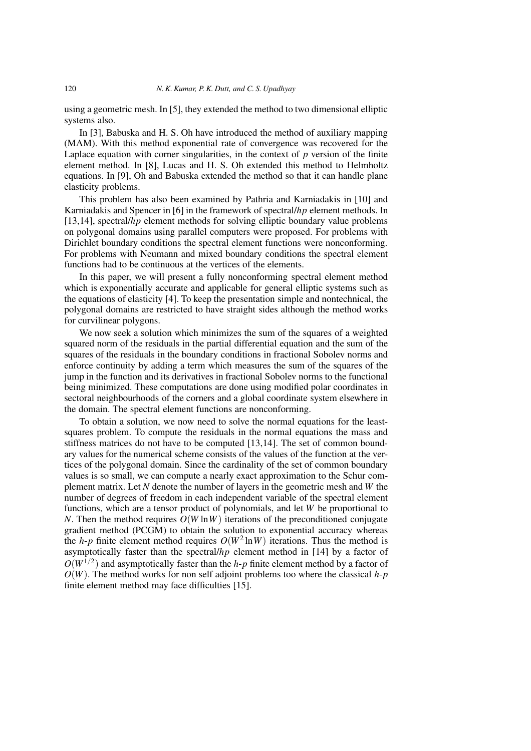using a geometric mesh. In [5], they extended the method to two dimensional elliptic systems also.

In [3], Babuska and H. S. Oh have introduced the method of auxiliary mapping (MAM). With this method exponential rate of convergence was recovered for the Laplace equation with corner singularities, in the context of  $p$  version of the finite element method. In [8], Lucas and H. S. Oh extended this method to Helmholtz equations. In [9], Oh and Babuska extended the method so that it can handle plane elasticity problems.

This problem has also been examined by Pathria and Karniadakis in [10] and Karniadakis and Spencer in [6] in the framework of spectral/*hp* element methods. In [13,14], spectral/ $h$ *p* element methods for solving elliptic boundary value problems on polygonal domains using parallel computers were proposed. For problems with Dirichlet boundary conditions the spectral element functions were nonconforming. For problems with Neumann and mixed boundary conditions the spectral element functions had to be continuous at the vertices of the elements.

In this paper, we will present a fully nonconforming spectral element method which is exponentially accurate and applicable for general elliptic systems such as the equations of elasticity [4]. To keep the presentation simple and nontechnical, the polygonal domains are restricted to have straight sides although the method works for curvilinear polygons.

We now seek a solution which minimizes the sum of the squares of a weighted squared norm of the residuals in the partial differential equation and the sum of the squares of the residuals in the boundary conditions in fractional Sobolev norms and enforce continuity by adding a term which measures the sum of the squares of the jump in the function and its derivatives in fractional Sobolev norms to the functional being minimized. These computations are done using modified polar coordinates in sectoral neighbourhoods of the corners and a global coordinate system elsewhere in the domain. The spectral element functions are nonconforming.

To obtain a solution, we now need to solve the normal equations for the leastsquares problem. To compute the residuals in the normal equations the mass and stiffness matrices do not have to be computed [13,14]. The set of common boundary values for the numerical scheme consists of the values of the function at the vertices of the polygonal domain. Since the cardinality of the set of common boundary values is so small, we can compute a nearly exact approximation to the Schur complement matrix. Let *N* denote the number of layers in the geometric mesh and *W* the number of degrees of freedom in each independent variable of the spectral element functions, which are a tensor product of polynomials, and let *W* be proportional to *N*. Then the method requires  $O(W \ln W)$  iterations of the preconditioned conjugate gradient method (PCGM) to obtain the solution to exponential accuracy whereas the *h*-*p* finite element method requires  $O(W^2 \ln W)$  iterations. Thus the method is asymptotically faster than the spectral/*hp* element method in [14] by a factor of  $O(W^{1/2})$  and asymptotically faster than the *h*-*p* finite element method by a factor of  $O(W)$ . The method works for non self adjoint problems too where the classical *h*-*p* finite element method may face difficulties [15].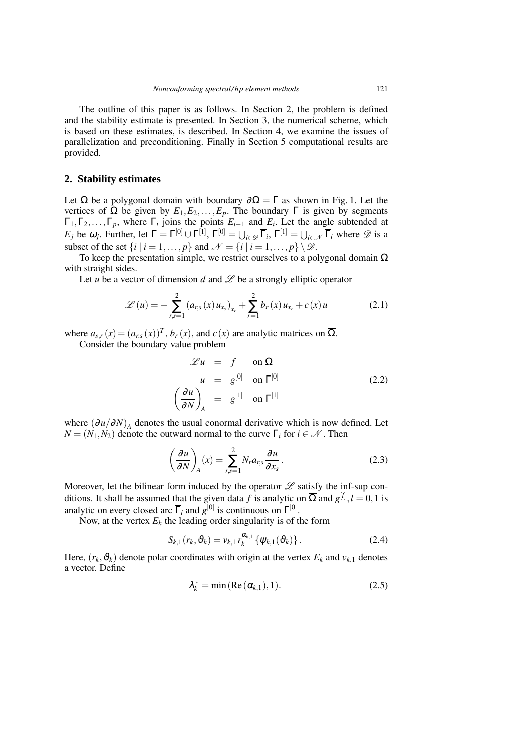The outline of this paper is as follows. In Section 2, the problem is defined and the stability estimate is presented. In Section 3, the numerical scheme, which is based on these estimates, is described. In Section 4, we examine the issues of parallelization and preconditioning. Finally in Section 5 computational results are provided.

## **2. Stability estimates**

Let  $\Omega$  be a polygonal domain with boundary  $\partial \Omega = \Gamma$  as shown in Fig. 1. Let the vertices of  $\Omega$  be given by  $E_1, E_2, \ldots, E_p$ . The boundary  $\Gamma$  is given by segments  $\Gamma_1, \Gamma_2, \ldots, \Gamma_p$ , where  $\Gamma_i$  joins the points  $E_{i-1}$  and  $E_i$ . Let the angle subtended at *E<sub>j</sub>* be  $\omega_j$ . Further, let  $\Gamma = \Gamma^{[0]} \cup \Gamma^{[1]}$ ,  $\Gamma^{[0]} = \bigcup_{i \in \mathcal{D}} \overline{\Gamma}_i$ ,  $\Gamma^{[1]} = \bigcup_{i \in \mathcal{N}} \overline{\Gamma}_i$  where  $\mathcal{D}$  is a subset of the set  $\{i \mid i = 1, ..., p\}$  and  $\mathcal{N} = \{i \mid i = 1, ..., p\} \setminus \mathcal{D}$ .

To keep the presentation simple, we restrict ourselves to a polygonal domain Ω with straight sides.

Let *u* be a vector of dimension *d* and  $\mathscr L$  be a strongly elliptic operator

$$
\mathscr{L}(u) = -\sum_{r,s=1}^{2} (a_{r,s}(x) u_{x_s})_{x_r} + \sum_{r=1}^{2} b_r(x) u_{x_r} + c(x) u \qquad (2.1)
$$

where  $a_{s,r}(x) = (a_{r,s}(x))^T$ ,  $b_r(x)$ , and  $c(x)$  are analytic matrices on  $\overline{\Omega}$ .

Consider the boundary value problem

$$
\mathcal{L}u = f \quad \text{on } \Omega
$$
  

$$
u = g^{[0]} \quad \text{on } \Gamma^{[0]}
$$
  

$$
\left(\frac{\partial u}{\partial N}\right)_A = g^{[1]} \quad \text{on } \Gamma^{[1]}
$$
 (2.2)

where  $(\partial u/\partial N)$ <sub>*A*</sub> denotes the usual conormal derivative which is now defined. Let  $N = (N_1, N_2)$  denote the outward normal to the curve  $\Gamma_i$  for  $i \in \mathcal{N}$ . Then

$$
\left(\frac{\partial u}{\partial N}\right)_A(x) = \sum_{r,s=1}^2 N_r a_{r,s} \frac{\partial u}{\partial x_s}.
$$
\n(2.3)

Moreover, let the bilinear form induced by the operator  $\mathscr L$  satisfy the inf-sup conditions. It shall be assumed that the given data *f* is analytic on  $\overline{\Omega}$  and  $g^{[l]}$ ,  $l = 0, 1$  is analytic on every closed arc  $\overline{\Gamma}_i$  and  $g^{[0]}$  is continuous on  $\Gamma^{[0]}$ .

Now, at the vertex  $E_k$  the leading order singularity is of the form

$$
S_{k,1}(r_k, \vartheta_k) = v_{k,1} r_k^{\alpha_{k,1}} \{ \psi_{k,1}(\vartheta_k) \}.
$$
 (2.4)

Here,  $(r_k, \vartheta_k)$  denote polar coordinates with origin at the vertex  $E_k$  and  $v_{k,1}$  denotes a vector. Define

$$
\lambda_k^* = \min(\text{Re}\left(\alpha_{k,1}\right), 1). \tag{2.5}
$$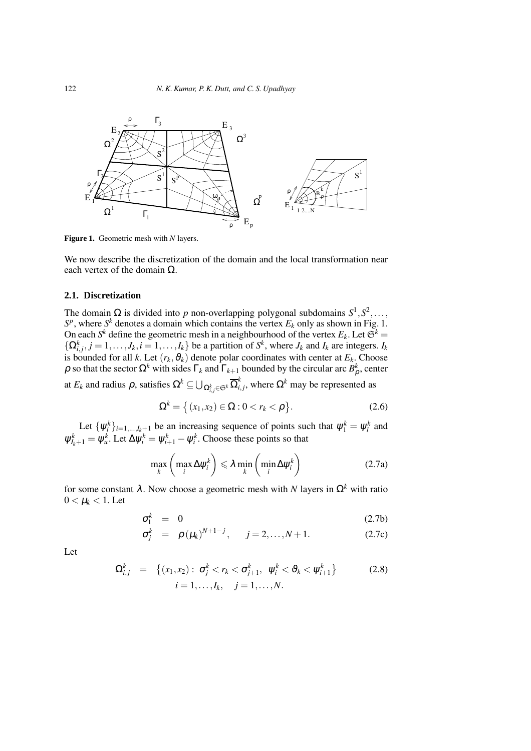

**Figure 1.** Geometric mesh with *N* layers.

We now describe the discretization of the domain and the local transformation near each vertex of the domain  $\Omega$ .

#### **2.1. Discretization**

The domain  $\Omega$  is divided into *p* non-overlapping polygonal subdomains  $S^1, S^2, \ldots$ ,  $S^p$ , where  $S^k$  denotes a domain which contains the vertex  $E_k$  only as shown in Fig. 1. On each  $S^k$  define the geometric mesh in a neighbourhood of the vertex  $E_k$ . Let  $\mathfrak{S}^k =$  $\{\Omega_{i,j}^k, j = 1, \ldots, J_k, i = 1, \ldots, I_k\}$  be a partition of  $S^k$ , where  $J_k$  and  $I_k$  are integers.  $I_k$ is bounded for all *k*. Let  $(r_k, \vartheta_k)$  denote polar coordinates with center at  $E_k$ . Choose  $ρ$  so that the sector  $Ω^k$  with sides  $Γ_k$  and  $Γ_{k+1}$  bounded by the circular arc  $B^k_ρ$ , center at  $E_k$  and radius  $\rho$ , satisfies  $\Omega^k \subseteq \bigcup_{\Omega_{i,j}^k \in \mathfrak{S}^k} \overline{\Omega}_{i,j}^k$  $\sum_{i,j}^{\kappa}$ , where  $\Omega^k$  may be represented as

$$
\Omega^k = \big\{ (x_1, x_2) \in \Omega : 0 < r_k < \rho \big\}. \tag{2.6}
$$

Let  $\{\psi_i^k\}_{i=1,\dots,I_k+1}$  be an increasing sequence of points such that  $\psi_1^k = \psi_i^k$  and  $\psi_{I_k+1}^k = \psi_{u}^k$ . Let  $\Delta \psi_i^k = \psi_{i+1}^k - \psi_i^k$ . Choose these points so that

$$
\max_{k} \left( \max_{i} \Delta \psi_i^k \right) \leq \lambda \min_{k} \left( \min_{i} \Delta \psi_i^k \right) \tag{2.7a}
$$

for some constant  $\lambda$ . Now choose a geometric mesh with *N* layers in  $\Omega^k$  with ratio  $0 < \mu_k < 1$ . Let

$$
\sigma_1^k = 0 \tag{2.7b}
$$

$$
\sigma_j^k = \rho (\mu_k)^{N+1-j}, \quad j = 2, ..., N+1. \tag{2.7c}
$$

Let

$$
\Omega_{i,j}^k = \left\{ (x_1, x_2) : \sigma_j^k < r_k < \sigma_{j+1}^k, \ \psi_i^k < \vartheta_k < \psi_{i+1}^k \right\} \tag{2.8}
$$
\n
$$
i = 1, \dots, I_k, \quad j = 1, \dots, N.
$$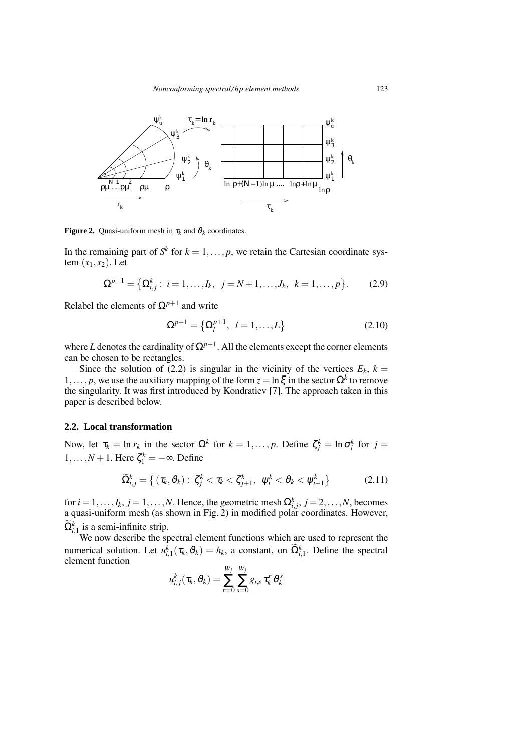

**Figure 2.** Quasi-uniform mesh in  $\tau_k$  and  $\vartheta_k$  coordinates.

In the remaining part of  $S^k$  for  $k = 1, \ldots, p$ , we retain the Cartesian coordinate system  $(x_1, x_2)$ . Let

$$
\Omega^{p+1} = \left\{ \Omega_{i,j}^k : i = 1, \dots, I_k, \ j = N+1, \dots, J_k, \ k = 1, \dots, p \right\}.
$$
 (2.9)

Relabel the elements of  $\Omega^{p+1}$  and write

$$
\Omega^{p+1} = \left\{ \Omega_l^{p+1}, \ l = 1, \dots, L \right\} \tag{2.10}
$$

where *L* denotes the cardinality of  $\Omega^{p+1}$ . All the elements except the corner elements can be chosen to be rectangles.

Since the solution of (2.2) is singular in the vicinity of the vertices  $E_k$ ,  $k =$ 1,..., *p*, we use the auxiliary mapping of the form  $z = \ln \xi$  in the sector  $\Omega^k$  to remove the singularity. It was first introduced by Kondratiev [7]. The approach taken in this paper is described below.

# **2.2. Local transformation**

Now, let  $\tau_k = \ln r_k$  in the sector  $\Omega^k$  for  $k = 1, \ldots, p$ . Define  $\zeta_j^k = \ln \sigma_j^k$  for  $j = 1$  $1, \ldots, N+1$ . Here  $\zeta_1^k = -\infty$ . Define

$$
\widetilde{\Omega}_{i,j}^k = \left\{ \left( \tau_k, \vartheta_k \right) : \zeta_j^k < \tau_k < \zeta_{j+1}^k, \ \psi_i^k < \vartheta_k < \psi_{i+1}^k \right\} \tag{2.11}
$$

for  $i = 1, \ldots, I_k$ ,  $j = 1, \ldots, N$ . Hence, the geometric mesh  $\Omega_{i,j}^k$ ,  $j = 2, \ldots, N$ , becomes a quasi-uniform mesh (as shown in Fig. 2) in modified polar coordinates. However,  $\widetilde{\Omega}_{i,1}^k$  is a semi-infinite strip.

We now describe the spectral element functions which are used to represent the numerical solution. Let  $u_{i,1}^k(\tau_k, \vartheta_k) = h_k$ , a constant, on  $\tilde{\Omega}_{i,1}^k$ . Define the spectral element function

$$
u_{i,j}^k(\tau_k, \vartheta_k) = \sum_{r=0}^{W_j} \sum_{s=0}^{W_j} g_{r,s} \tau_k^r \vartheta_k^s
$$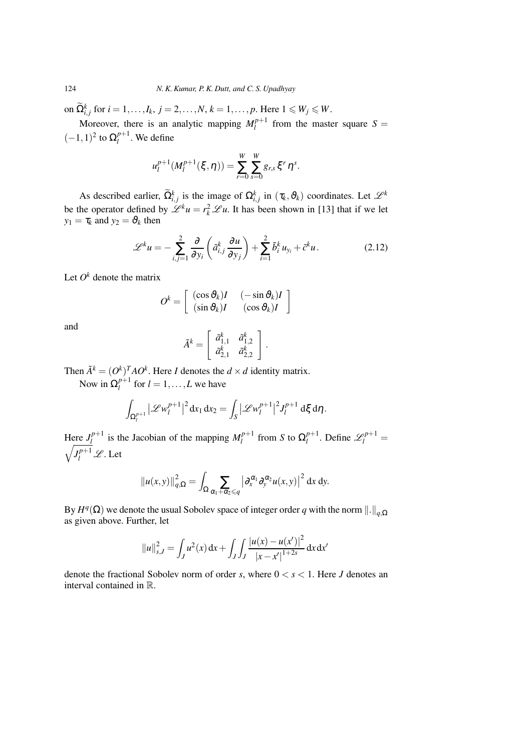on  $\widetilde{\Omega}_{i,j}^k$  for  $i = 1, \ldots, I_k$ ,  $j = 2, \ldots, N$ ,  $k = 1, \ldots, p$ . Here  $1 \leqslant W_j \leqslant W$ .

Moreover, there is an analytic mapping  $M_l^{p+1}$  $l_l^{p+1}$  from the master square  $S =$  $(-1, 1)<sup>2</sup>$  to Ω<sub>*l*</sub><sup>*p*+1</sup>  $\int_l^{p+1}$ . We define

$$
u_l^{p+1}(M_l^{p+1}(\xi,\eta))=\sum_{r=0}^W\sum_{s=0}^W g_{r,s}\,\xi^r\,\eta^s.
$$

As described earlier,  $\widetilde{\Omega}_{i,j}^k$  is the image of  $\Omega_{i,j}^k$  in  $(\tau_k, \vartheta_k)$  coordinates. Let  $\mathscr{L}^k$ be the operator defined by  $\mathscr{L}^k u = r_k^2 \mathscr{L} u$ . It has been shown in [13] that if we let  $y_1 = \tau_k$  and  $y_2 = \vartheta_k$  then

$$
\mathscr{L}^k u = -\sum_{i,j=1}^2 \frac{\partial}{\partial y_i} \left( \tilde{a}_{i,j}^k \frac{\partial u}{\partial y_j} \right) + \sum_{i=1}^2 \tilde{b}_i^k u_{y_i} + \tilde{c}^k u. \tag{2.12}
$$

Let  $O^k$  denote the matrix

$$
O^k = \left[ \begin{array}{cc} (\cos \vartheta_k)I & (-\sin \vartheta_k)I \\ (\sin \vartheta_k)I & (\cos \vartheta_k)I \end{array} \right]
$$

and

$$
\tilde{A}^k = \left[ \begin{array}{cc} \tilde{a}_{1,1}^k & \tilde{a}_{1,2}^k \\ \tilde{a}_{2,1}^k & \tilde{a}_{2,2}^k \end{array} \right].
$$

Then  $\tilde{A}^k = (O^k)^T A O^k$ . Here *I* denotes the  $d \times d$  identity matrix.

Now in  $\Omega_l^{p+1}$  $l_l^{p+1}$  for  $l = 1, ..., L$  we have

$$
\int_{\Omega_l^{p+1}}\big|\mathscr{L}w_l^{p+1}\big|^2\,\mathrm{d}x_1\,\mathrm{d}x_2=\int_S\big|\mathscr{L}w_l^{p+1}\big|^2J_l^{p+1}\,\mathrm{d}\xi\,\mathrm{d}\eta\.
$$

Here  $J_l^{p+1}$  $\frac{p}{l}$ <sup>*p*+1</sup> is the Jacobian of the mapping  $M_l^{p+1}$  $\Omega_l^{p+1}$  from *S* to  $\Omega_l^{p+1}$  $\mathcal{L}_l^{p+1}$ . Define  $\mathcal{L}_l^{p+1}$  =  $\sqrt{J_l^{p+1}} \mathcal{L}$ . Let

$$
||u(x,y)||_{q,\Omega}^2 = \int_{\Omega} \sum_{\alpha_1 + \alpha_2 \leq q} \left| \partial_x^{\alpha_1} \partial_y^{\alpha_2} u(x,y) \right|^2 dx dy.
$$

By  $H^q(\Omega)$  we denote the usual Sobolev space of integer order *q* with the norm  $\|.\|_{q,\Omega}$ as given above. Further, let

$$
||u||_{s,J}^{2} = \int_{J} u^{2}(x) dx + \int_{J} \int_{J} \frac{|u(x) - u(x')|^{2}}{|x - x'|^{1+2s}} dx dx'
$$

denote the fractional Sobolev norm of order *s*, where 0 < *s* < 1. Here *J* denotes an interval contained in R.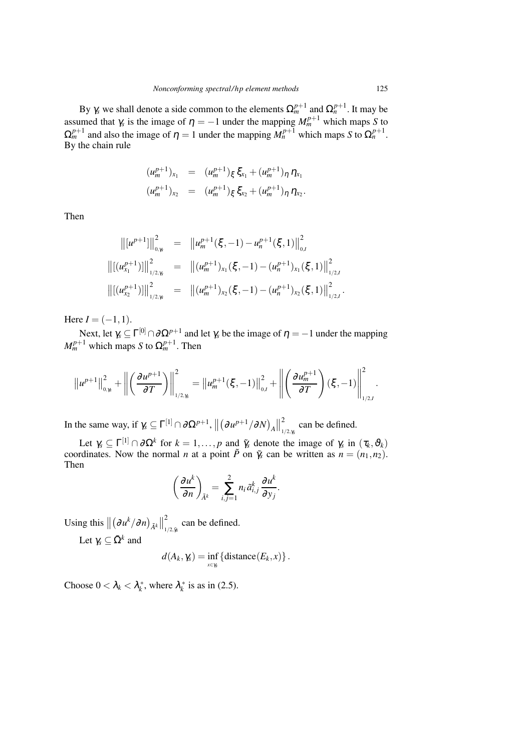By *γ*<sub>s</sub> we shall denote a side common to the elements  $\Omega_m^{p+1}$  and  $\Omega_n^{p+1}$ . It may be assumed that  $\gamma_s$  is the image of  $\eta = -1$  under the mapping  $M_m^{p+1}$  which maps *S* to  $\Omega_m^{p+1}$  and also the image of  $\eta = 1$  under the mapping  $M_n^{p+1}$  which maps *S* to  $\Omega_n^{p+1}$ . By the chain rule

$$
(u_m^{p+1})_{x_1} = (u_m^{p+1})_{\xi} \xi_{x_1} + (u_m^{p+1})_{\eta} \eta_{x_1}
$$
  

$$
(u_m^{p+1})_{x_2} = (u_m^{p+1})_{\xi} \xi_{x_2} + (u_m^{p+1})_{\eta} \eta_{x_2}.
$$

Then

$$
\begin{aligned}\n\left\| [u^{p+1}] \right\|_{0,\infty}^2 &= \left\| u_m^{p+1}(\xi, -1) - u_n^{p+1}(\xi, 1) \right\|_{0,I}^2 \\
\left\| [(u_{x_1}^{p+1})] \right\|_{1/2,\infty}^2 &= \left\| (u_m^{p+1})_{x_1}(\xi, -1) - (u_n^{p+1})_{x_1}(\xi, 1) \right\|_{1/2,I}^2 \\
\left\| [(u_{x_2}^{p+1})] \right\|_{1/2,\infty}^2 &= \left\| (u_m^{p+1})_{x_2}(\xi, -1) - (u_n^{p+1})_{x_2}(\xi, 1) \right\|_{1/2,I}^2.\n\end{aligned}
$$

Here  $I = (-1, 1)$ .

Next, let  $\gamma_s \subseteq \Gamma^{[0]} \cap \partial \Omega^{p+1}$  and let  $\gamma_s$  be the image of  $\eta = -1$  under the mapping  $M_m^{p+1}$  which maps *S* to  $\Omega_m^{p+1}$ . Then

$$
\left\|u^{p+1}\right\|_{0,\infty}^2 + \left\|\left(\frac{\partial u^{p+1}}{\partial T}\right)\right\|_{1/2,\infty}^2 = \left\|u_m^{p+1}(\xi, -1)\right\|_{0,I}^2 + \left\|\left(\frac{\partial u_m^{p+1}}{\partial T}\right)(\xi, -1)\right\|_{1/2,I}^2
$$

In the same way, if  $\gamma_s \subseteq \Gamma^{[1]} \cap \partial \Omega^{p+1}$ ,  $\left\| \left( \partial u^{p+1} / \partial N \right)_A \right\|_1^2$  $\sum_{1/2,\gamma_s}^2$  can be defined.

Let  $\gamma_s \subseteq \Gamma^{[1]} \cap \partial \Omega^k$  for  $k = 1, ..., p$  and  $\tilde{\gamma}_s$  denote the image of  $\gamma_s$  in  $(\tau_k, \vartheta_k)$ coordinates. Now the normal *n* at a point  $\tilde{P}$  on  $\tilde{\gamma}_s$  can be written as  $n = (n_1, n_2)$ . Then

$$
\left(\frac{\partial u^k}{\partial n}\right)_{\tilde{A}^k}=\sum_{i,j=1}^2 n_i \tilde{a}_{i,j}^k \frac{\partial u^k}{\partial y_j}.
$$

Using this  $\left\|\left(\partial u^k/\partial n\right)_{\tilde{A}^k}\right\|_1^2$  $\sum_{1/2,\tilde{y}_s}^2$  can be defined.

Let  $\gamma_s \subseteq \bar{\Omega}^k$  and

$$
d(A_k, \gamma_s) = \inf_{x \in \gamma_s} \{ \text{distance}(E_k, x) \}.
$$

Choose  $0 < \lambda_k < \lambda_k^*$ , where  $\lambda_k^*$  is as in (2.5).

.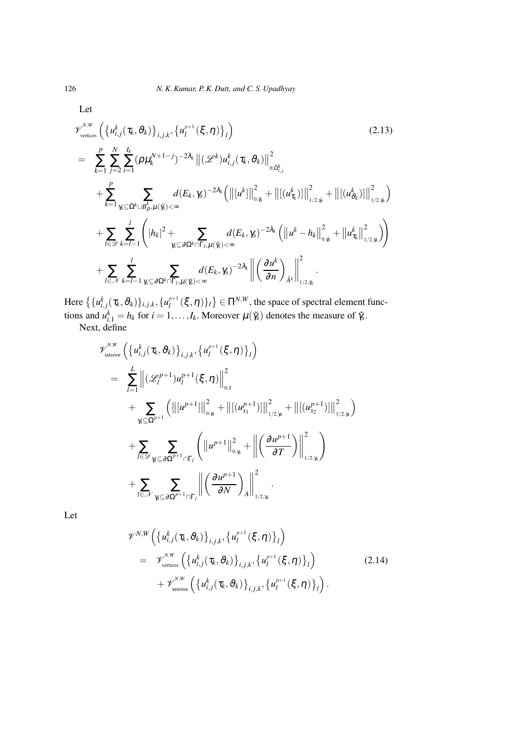Let

$$
\mathcal{V}_{\text{vertices}}^{N,W} \left( \{ u_{i,j}^{k}(\tau_k, \vartheta_k) \}_{i,j,k}, \{ u_{l}^{p+1}(\xi, \eta) \}_{l} \right) \qquad (2.13)
$$
\n
$$
= \sum_{k=1}^{p} \sum_{j=2}^{N} \sum_{i=1}^{l_k} (\rho \mu_k^{N+1-j})^{-2\lambda_k} ||(\mathcal{L}^k) u_{i,j}^{k}(\tau_k, \vartheta_k) ||_{0, \tilde{\Omega}_{i,j}^k}^2 + \sum_{j=2}^{p} \sum_{i=1}^{N} \sum_{\gamma_s \subseteq \Omega^k \cup B_p^k, \mu(\tilde{\gamma}_s) < \infty} d(E_k, \gamma_s)^{-2\lambda_k} (||[u^k]||_{0, \tilde{\gamma}_s}^2 + ||[(u_{\tau_k}^k)]||_{1/2, \tilde{\gamma}_s}^2 + ||[(u_{\vartheta_k}^k)]||_{1/2, \tilde{\gamma}_s}^2) + \sum_{l \in \mathcal{D}} \sum_{k=l-1}^{l} \left( |h_k|^2 + \sum_{\gamma_s \subseteq \partial \Omega^k \cap \Gamma_l, \mu(\tilde{\gamma}_s) < \infty} d(E_k, \gamma_s)^{-2\lambda_k} (||u^k - h_k||_{0, \tilde{\gamma}_s}^2 + ||u_{\tau_k}^k||_{1/2, \tilde{\gamma}_s}^2) \right) + \sum_{l \in \mathcal{N}} \sum_{k=l-1}^{l} \sum_{\gamma_s \subseteq \partial \Omega^k \cap \Gamma_l, \mu(\tilde{\gamma}_s) < \infty} d(E_k, \gamma_s)^{-2\lambda_k} ||\left( \frac{\partial u^k}{\partial n} \right)_{\tilde{A}^k} ||_{1/2, \tilde{\gamma}_s}^2.
$$

 $\text{Here } \left\{ \{u_{i,j}^k(\tau_k, \vartheta_k)\}_{i,j,k}, \{u_l^{p+1}(\xi, \eta)\}_l \right\} \in \Pi^{N,W}, \text{the space of spectral element func-1}$ tions and  $u_{i,1}^k = h_k$  for  $i = 1, ..., I_k$ . Moreover  $\mu(\tilde{\gamma}_s)$  denotes the measure of  $\tilde{\gamma}_s$ .

Next, define

$$
\mathcal{V}_{\text{interior}}^{N,W} \left( \left\{ u_{i,j}^{k}(\tau_k, \vartheta_k) \right\}_{i,j,k}, \left\{ u_{l}^{p+1}(\xi, \eta) \right\}_{l} \right)
$$
\n
$$
= \sum_{l=1}^{L} \left\| (\mathcal{L}_{l}^{p+1}) u_{l}^{p+1}(\xi, \eta) \right\|_{0,S}^{2}
$$
\n
$$
+ \sum_{\gamma_{s} \subseteq \Omega^{p+1}} \left( \left\| [u^{p+1}] \right\|_{0,\gamma_{s}}^{2} + \left\| [u_{\chi_{1}}^{p+1})] \right\|_{1/2,\gamma_{s}}^{2} + \left\| [u_{\chi_{2}}^{p+1})] \right\|_{1/2,\gamma_{s}}^{2} \right)
$$
\n
$$
+ \sum_{l \in \mathcal{D}} \sum_{\gamma_{s} \subseteq \partial \Omega^{p+1} \cap \Gamma_{l}} \left( \left\| u^{p+1} \right\|_{0,\gamma_{s}}^{2} + \left\| \left( \frac{\partial u^{p+1}}{\partial T} \right) \right\|_{1/2,\gamma_{s}}^{2} \right)
$$
\n
$$
+ \sum_{l \in \mathcal{N}} \sum_{\gamma_{s} \subseteq \partial \Omega^{p+1} \cap \Gamma_{l}} \left\| \left( \frac{\partial u^{p+1}}{\partial N} \right)_{A} \right\|_{1/2,\gamma_{s}}^{2}.
$$

Let

$$
\mathcal{V}^{N,W}\left(\left\{u_{i,j}^{k}(\tau_{k},\vartheta_{k})\right\}_{i,j,k},\left\{u_{l}^{p+1}(\xi,\eta)\right\}_{l}\right) \n= \mathcal{V}_{\text{vertices}}^{N,W}\left(\left\{u_{i,j}^{k}(\tau_{k},\vartheta_{k})\right\}_{i,j,k},\left\{u_{l}^{p+1}(\xi,\eta)\right\}_{l}\right) \n+ \mathcal{V}_{\text{interior}}^{N,W}\left(\left\{u_{i,j}^{k}(\tau_{k},\vartheta_{k})\right\}_{i,j,k},\left\{u_{l}^{p+1}(\xi,\eta)\right\}_{l}\right).
$$
\n(2.14)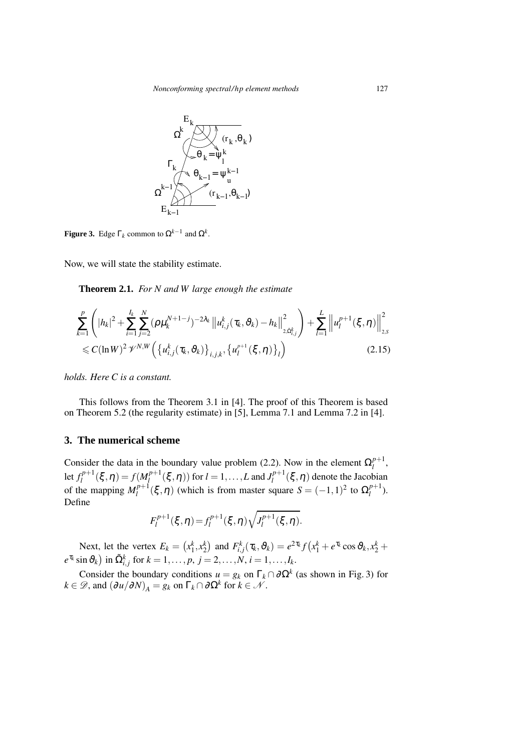

**Figure 3.** Edge  $\Gamma_k$  common to  $\Omega^{k-1}$  and  $\Omega^k$ .

Now, we will state the stability estimate.

**Theorem 2.1.** *For N and W large enough the estimate*

$$
\sum_{k=1}^{p} \left( |h_k|^2 + \sum_{i=1}^{I_k} \sum_{j=2}^{N} (\rho \mu_k^{N+1-j})^{-2\lambda_k} \left\| u_{i,j}^k(\tau_k, \vartheta_k) - h_k \right\|_{2, \tilde{\Omega}_{i,j}^k}^2 \right) + \sum_{l=1}^{L} \left\| u_l^{p+1}(\xi, \eta) \right\|_{2, \mathcal{S}}^2
$$
  
\$\leq C(\ln W)^2 \mathcal{V}^{N,W} \left( \left\{ u\_{i,j}^k(\tau\_k, \vartheta\_k) \right\}\_{i,j,k}, \left\{ u\_l^{p+1}(\xi, \eta) \right\}\_l \right) \qquad (2.15)\$

*holds. Here C is a constant.*

This follows from the Theorem 3.1 in [4]. The proof of this Theorem is based on Theorem 5.2 (the regularity estimate) in [5], Lemma 7.1 and Lemma 7.2 in [4].

#### **3. The numerical scheme**

Consider the data in the boundary value problem (2.2). Now in the element  $\Omega_l^{p+1}$ *l* , let  $f_l^{p+1}$  $\zeta_l^{p+1}(\xi, \eta) = f(M_l^{p+1})$  $\int_l^{p+1} (\xi, \eta)$  for  $l = 1, \ldots, L$  and  $J_l^{p+1}$  $l_l^{p+1}(\xi, \eta)$  denote the Jacobian of the mapping  $M_l^{p+1}$  $\int_l^{p+1} (\xi, \eta)$  (which is from master square  $S = (-1,1)^2$  to  $\Omega_l^{p+1}$  $_{l}^{p+1}$ ). Define

$$
F_l^{p+1}(\xi, \eta) = f_l^{p+1}(\xi, \eta) \sqrt{J_l^{p+1}(\xi, \eta)}.
$$

Next, let the vertex  $E_k = (x_1^k, x_2^k)$  and  $F_{i,j}^k(\tau_k, \vartheta_k) = e^{2\tau_k} f(x_1^k + e^{\tau_k} \cos \vartheta_k, x_2^k + \vartheta_k \cos \vartheta_k)$  $e^{\tau_k} \sin \vartheta_k$  in  $\tilde{\Omega}_{i,j}^k$  for  $k = 1, ..., p, j = 2, ..., N, i = 1, ..., I_k$ .

Consider the boundary conditions  $u = g_k$  on  $\Gamma_k \cap \partial \Omega^k$  (as shown in Fig. 3) for  $k \in \mathcal{D}$ , and  $\left(\frac{\partial u}{\partial N}\right)_A = g_k$  on  $\Gamma_k \cap \partial \Omega^k$  for  $k \in \mathcal{N}$ .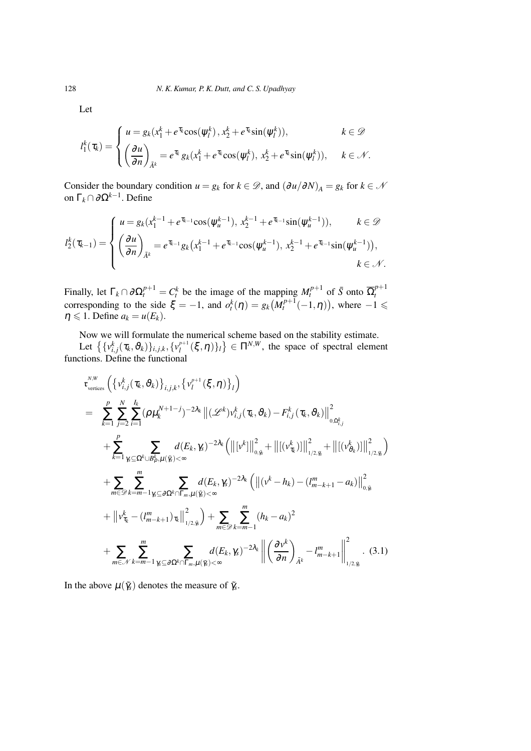Let

$$
l_1^k(\tau_k) = \begin{cases} u = g_k(x_1^k + e^{\tau_k} \cos(\psi_l^k), x_2^k + e^{\tau_k} \sin(\psi_l^k)), & k \in \mathcal{D} \\ \left(\frac{\partial u}{\partial n}\right)_{\tilde{A}^k} = e^{\tau_k} g_k(x_1^k + e^{\tau_k} \cos(\psi_l^k), x_2^k + e^{\tau_k} \sin(\psi_l^k)), & k \in \mathcal{N}. \end{cases}
$$

Consider the boundary condition  $u = g_k$  for  $k \in \mathcal{D}$ , and  $(\partial u / \partial N)_A = g_k$  for  $k \in \mathcal{N}$ on Γ*<sup>k</sup>* ∩∂Ω*k*−<sup>1</sup> . Define

$$
l_2^k(\tau_{k-1}) = \begin{cases} u = g_k(x_1^{k-1} + e^{\tau_{k-1}} \cos(\psi_u^{k-1}), x_2^{k-1} + e^{\tau_{k-1}} \sin(\psi_u^{k-1})), & k \in \mathcal{D} \\ \left(\frac{\partial u}{\partial n}\right)_{\tilde{A}^k} = e^{\tau_{k-1}} g_k(x_1^{k-1} + e^{\tau_{k-1}} \cos(\psi_u^{k-1}), x_2^{k-1} + e^{\tau_{k-1}} \sin(\psi_u^{k-1})), & k \in \mathcal{N}. \end{cases}
$$

Finally, let  $\Gamma_k \cap \partial \Omega_t^{p+1} = C_t^k$  be the image of the mapping  $M_t^{p+1}$  of  $\bar{S}$  onto  $\overline{\Omega}_t^{p+1}$ *t* corresponding to the side  $\xi = -1$ , and  $o_t^k(\eta) = g_k(M_t^{p+1}(-1, \eta))$ , where  $-1 \le$  $\eta \leq 1$ . Define  $a_k = u(E_k)$ .

Now we will formulate the numerical scheme based on the stability estimate.

Let  $\{\{v_{i,j}^k(\tau_k, \vartheta_k)\}_{i,j,k}, \{v_l^{p+1}(\xi, \eta)\}_l\} \in \Pi^{N,W}$ , the space of spectral element functions. Define the functional

$$
\mathbf{t}_{\text{vertices}}^{N,W} \left( \left\{ v_{i,j}^{k}(\tau_{k}, \vartheta_{k}) \right\}_{i,j,k}, \left\{ v_{l}^{p+1}(\xi, \eta) \right\}_{l} \right)
$$
\n
$$
= \sum_{k=1}^{p} \sum_{j=2}^{N} \sum_{i=1}^{l_{k}} (\rho \mu_{k}^{N+1-j})^{-2\lambda_{k}} \left\| (\mathcal{L}^{k}) v_{i,j}^{k}(\tau_{k}, \vartheta_{k}) - F_{i,j}^{k}(\tau_{k}, \vartheta_{k}) \right\|_{0, \tilde{\Omega}_{i,j}^{k}}^{2}
$$
\n
$$
+ \sum_{k=1}^{p} \sum_{\gamma_{s} \subseteq \Omega^{k} \cup B_{p}^{k}, \mu(\tilde{\gamma}_{s}) < \infty} d(E_{k}, \gamma_{s})^{-2\lambda_{k}} \left( \left\| [v^{k}] \right\|_{0, \gamma_{s}}^{2} + \left\| [ (v_{\tau_{k}}^{k}) ] \right\|_{1/2, \gamma_{s}}^{2} + \left\| [ (v_{\vartheta_{k}}^{k}) ] \right\|_{1/2, \tilde{\gamma}_{s}}^{2} \right)
$$
\n
$$
+ \sum_{m \in \mathcal{D}} \sum_{k=m-1}^{m} \sum_{\gamma_{s} \subseteq \partial \Omega^{k} \cap \Gamma_{m}, \mu(\tilde{\gamma}_{s}) < \infty} d(E_{k}, \gamma_{s})^{-2\lambda_{k}} \left( \left\| (v^{k} - h_{k}) - (l_{m-k+1}^{m} - a_{k}) \right\|_{0, \tilde{\gamma}_{s}}^{2} + \left\| v_{\tau_{k}}^{k} - (l_{m-k+1}^{m})_{\tau_{k}} \right\|_{1/2, \tilde{\gamma}_{s}}^{2} \right) + \sum_{m \in \mathcal{D}} \sum_{k=m-1}^{m} (h_{k} - a_{k})^{2}
$$
\n
$$
+ \sum_{m \in \mathcal{N}} \sum_{k=m-1}^{m} \sum_{\gamma_{s} \subseteq \partial \Omega^{k} \cap \Gamma_{m}, \mu(\tilde{\gamma}_{s}) < \infty} d(E_{k}, \gamma_{s})^{-2\lambda_{k}} \left( \left\| \frac{\partial v^{k}}{\partial n} \right\|_{\tilde{\gamma}_{k}} - l_{m-k+1}^{m} \
$$

In the above  $\mu(\tilde{\gamma}_s)$  denotes the measure of  $\tilde{\gamma}_s$ .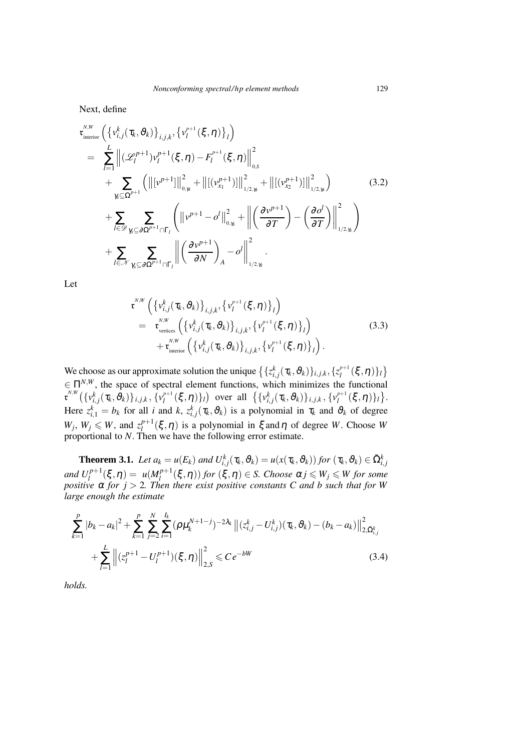Next, define

$$
\mathbf{t}_{\text{interior}}^{N,W} \left( \left\{ v_{i,j}^{k}(\tau_{k}, \vartheta_{k}) \right\}_{i,j,k}, \left\{ v_{l}^{p+1}(\xi, \eta) \right\}_{l} \right)
$$
\n
$$
= \sum_{l=1}^{L} \left\| (\mathcal{L}_{l}^{p+1}) v_{l}^{p+1}(\xi, \eta) - F_{l}^{p+1}(\xi, \eta) \right\|_{0,s}^{2}
$$
\n
$$
+ \sum_{\gamma_{s} \subseteq \Omega^{p+1}} \left( \left\| [v^{p+1}] \right\|_{0,\gamma_{s}}^{2} + \left\| [ (v_{x_{1}}^{p+1}) ] \right\|_{1/2,\gamma_{s}}^{2} + \left\| [ (v_{x_{2}}^{p+1}) ] \right\|_{1/2,\gamma_{s}}^{2} \right)
$$
\n
$$
+ \sum_{l \in \mathcal{D}} \sum_{\gamma_{s} \subseteq \partial \Omega^{p+1} \cap \Gamma_{l}} \left( \left\| v^{p+1} - o^{l} \right\|_{0,\gamma_{s}}^{2} + \left\| \left( \frac{\partial v^{p+1}}{\partial T} \right) - \left( \frac{\partial o^{l}}{\partial T} \right) \right\|_{1/2,\gamma_{s}}^{2} \right)
$$
\n
$$
+ \sum_{l \in \mathcal{N}} \sum_{\gamma_{s} \subseteq \partial \Omega^{p+1} \cap \Gamma_{l}} \left\| \left( \frac{\partial v^{p+1}}{\partial N} \right)_{A} - o^{l} \right\|_{1/2,\gamma_{s}}^{2}.
$$
\n(3.2)

Let

$$
\mathbf{t}^{N,W} \left( \left\{ v_{i,j}^k(\tau_k, \vartheta_k) \right\}_{i,j,k}, \left\{ v_l^{p+1}(\xi, \eta) \right\}_l \right) \n= \mathbf{t}_{\text{vertices}}^{N,W} \left( \left\{ v_{i,j}^k(\tau_k, \vartheta_k) \right\}_{i,j,k}, \left\{ v_l^{p+1}(\xi, \eta) \right\}_l \right) \n+ \mathbf{t}_{\text{interior}}^{N,W} \left( \left\{ v_{i,j}^k(\tau_k, \vartheta_k) \right\}_{i,j,k}, \left\{ v_l^{p+1}(\xi, \eta) \right\}_l \right).
$$
\n(3.3)

We choose as our approximate solution the unique  $\{\{z_{i,j}^k(\tau_k,\vartheta_k)\}_{i,j,k},\{z_l^{p+1}(\xi,\eta)\}_l\}$  $\in \Pi^{N,W}$ , the space of spectral element functions, which minimizes the functional  $\mathfrak{r}^{\scriptscriptstyle N,\scriptscriptstyle W} \left(\{ \nu_{i,j}^{k}(\tau_k,\vartheta_k) \}_{i,j,k}, \{\nu_{l}^{p+1}(\xi,\eta)\}_{l}\right) \;\;\text{over all}\;\; \left\{ \{ \nu_{i,j}^{k}(\tau_k,\vartheta_k) \}_{i,j,k}, \{\nu_{l}^{p+1}(\xi,\eta)\}_{l}\right\}.$ Here  $z_{i,1}^k = b_k$  for all *i* and *k*,  $z_{i,j}^k(\tau_k, \vartheta_k)$  is a polynomial in  $\tau_k$  and  $\vartheta_k$  of degree  $W_j$ ,  $W_j \le W$ , and  $z_l^{p+1}$  $\ell_l^{p+1}(\xi, \eta)$  is a polynomial in  $\xi$  and  $\eta$  of degree *W*. Choose *W* proportional to *N*. Then we have the following error estimate.

**Theorem 3.1.** Let  $a_k = u(E_k)$  and  $U_{i,j}^k(\tau_k, \vartheta_k) = u(x(\tau_k, \vartheta_k))$  for  $(\tau_k, \vartheta_k) \in \tilde{\Omega}_{i,j}^k$  $and U_l^{p+1}(\xi, \eta) = u(M_l^{p+1})$  $\binom{p+1}{l}(\xi,\eta)$  *for*  $(\xi,\eta) \in S$ . Choose  $\alpha j \leqslant W_j \leqslant W$  for some *positive* <sup>α</sup> *for j* > 2*. Then there exist positive constants C and b such that for W large enough the estimate*

$$
\sum_{k=1}^{p} |b_k - a_k|^2 + \sum_{k=1}^{p} \sum_{j=2}^{N} \sum_{i=1}^{l_k} (\rho \mu_k^{N+1-j})^{-2\lambda_k} \left\| (z_{i,j}^k - U_{i,j}^k)(\tau_k, \vartheta_k) - (b_k - a_k) \right\|_{2, \tilde{\Omega}_{i,j}^k}^2
$$
  
+ 
$$
\sum_{l=1}^{L} \left\| (z_l^{p+1} - U_l^{p+1})(\xi, \eta) \right\|_{2, S}^2 \le C e^{-bW}
$$
(3.4)

*holds.*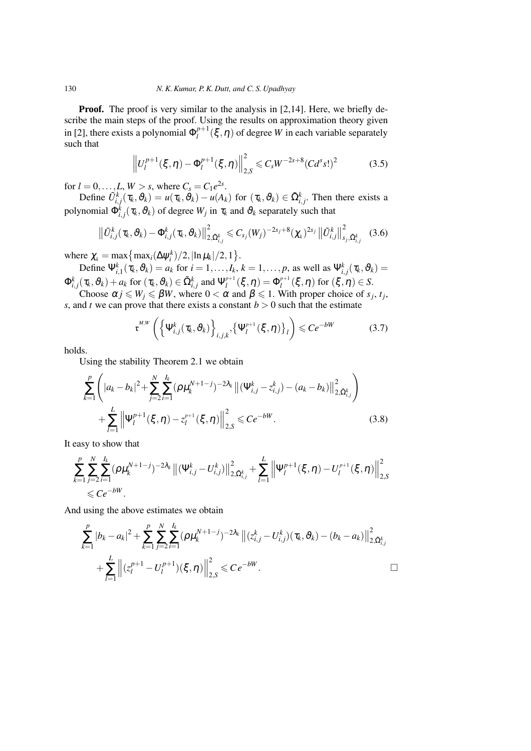**Proof.** The proof is very similar to the analysis in [2,14]. Here, we briefly describe the main steps of the proof. Using the results on approximation theory given in [2], there exists a polynomial  $\Phi_l^{p+1}$  $l_l^{p+1}(\xi, \eta)$  of degree *W* in each variable separately such that

$$
\left\|U_l^{p+1}(\xi,\eta) - \Phi_l^{p+1}(\xi,\eta)\right\|_{2,S}^2 \leq C_s W^{-2s+8} (Cd^s s!)^2 \tag{3.5}
$$

for  $l = 0, ..., L, W > s$ , where  $C_s = C_1 e^{2s}$ .

Define  $\tilde{U}^k_{i,j}(\tau_k, \vartheta_k) = u(\tau_k, \vartheta_k) - u(A_k)$  for  $(\tau_k, \vartheta_k) \in \tilde{\Omega}^k_{i,j}$ . Then there exists a polynomial  $\Phi_{i,j}^k(\tau_k, \vartheta_k)$  of degree  $W_j$  in  $\tau_k$  and  $\vartheta_k$  separately such that

$$
\left\| \tilde{U}_{i,j}^k(\tau_k, \vartheta_k) - \Phi_{i,j}^k(\tau_k, \vartheta_k) \right\|_{2, \tilde{\Omega}_{i,j}^k}^2 \leq C_{s_j}(W_j)^{-2s_j+8} (\chi_k)^{2s_j} \left\| \tilde{U}_{i,j}^k \right\|_{s_j, \tilde{\Omega}_{i,j}^k}^2 \quad (3.6)
$$

where  $\chi_k = \max\left\{\max_i(\Delta \psi_i^k)/2, |\ln \mu_k|/2, 1\right\}.$ 

Define  $\Psi_{i,1}^k(\tau_k, \vartheta_k) = a_k$  for  $i = 1, \ldots, I_k$ ,  $k = 1, \ldots, p$ , as well as  $\Psi_{i,j}^k(\tau_k, \vartheta_k) =$  $\Phi_{i,j}^k(\tau_k, \vartheta_k) + a_k \text{ for } (\tau_k, \vartheta_k) \in \tilde{\Omega}_{i,j}^k \text{ and } \Psi_l^{p+1}(\xi, \eta) = \Phi_l^{p+1}(\xi, \eta) \text{ for } (\xi, \eta) \in S.$ 

Choose  $\alpha j \leqslant W_j \leqslant \beta W$ , where  $0 < \alpha$  and  $\beta \leqslant 1$ . With proper choice of  $s_j, t_j$ , *s*, and *t* we can prove that there exists a constant  $b > 0$  such that the estimate

$$
\mathfrak{r}^{M,W}\left(\left\{\Psi_{i,j}^k(\tau_k,\vartheta_k)\right\}_{i,j,k}, \left\{\Psi_l^{p+1}(\xi,\eta)\right\}_l\right) \leqslant Ce^{-bW} \tag{3.7}
$$

holds.

Using the stability Theorem 2.1 we obtain

$$
\sum_{k=1}^{p} \left( |a_k - b_k|^2 + \sum_{j=2}^{N} \sum_{i=1}^{l_k} (\rho \mu_k^{N+1-j})^{-2\lambda_k} \left\| (\Psi_{i,j}^k - z_{i,j}^k) - (a_k - b_k) \right\|_{2, \tilde{\Omega}_{i,j}^k}^2 \right) + \sum_{l=1}^{L} \left\| \Psi_l^{p+1}(\xi, \eta) - z_l^{p+1}(\xi, \eta) \right\|_{2, S}^2 \le Ce^{-bW}.
$$
\n(3.8)

It easy to show that

$$
\sum_{k=1}^p \sum_{j=2}^N \sum_{i=1}^{I_k} (\rho \mu_k^{N+1-j})^{-2\lambda_k} \left\| (\Psi_{i,j}^k - U_{i,j}^k) \right\|_{2,\tilde{\Omega}_{i,j}^k}^2 + \sum_{l=1}^L \left\| \Psi_l^{p+1}(\xi, \eta) - U_l^{p+1}(\xi, \eta) \right\|_{2,S}^2
$$
  
\$\leq C e^{-bW}.

And using the above estimates we obtain

$$
\sum_{k=1}^p |b_k - a_k|^2 + \sum_{k=1}^p \sum_{j=2}^N \sum_{i=1}^{l_k} (\rho \mu_k^{N+1-j})^{-2\lambda_k} \left\| (z_{i,j}^k - U_{i,j}^k)(\tau_k, \vartheta_k) - (b_k - a_k) \right\|_{2, \tilde{\Omega}_{i,j}^k}^2
$$
  
+ 
$$
\sum_{l=1}^L \left\| (z_l^{p+1} - U_l^{p+1})(\xi, \eta) \right\|_{2, S}^2 \leq C e^{-bW}.
$$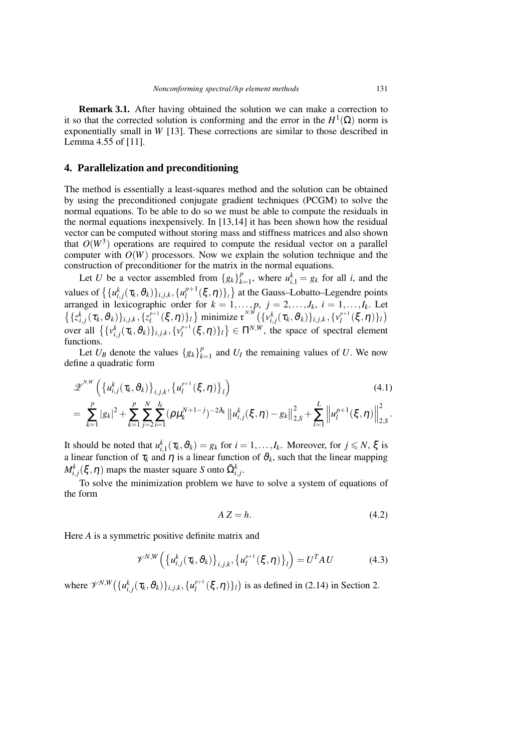**Remark 3.1.** After having obtained the solution we can make a correction to it so that the corrected solution is conforming and the error in the  $H^1(\Omega)$  norm is exponentially small in *W* [13]. These corrections are similar to those described in Lemma 4.55 of [11].

#### **4. Parallelization and preconditioning**

The method is essentially a least-squares method and the solution can be obtained by using the preconditioned conjugate gradient techniques (PCGM) to solve the normal equations. To be able to do so we must be able to compute the residuals in the normal equations inexpensively. In [13,14] it has been shown how the residual vector can be computed without storing mass and stiffness matrices and also shown that  $O(W^3)$  operations are required to compute the residual vector on a parallel computer with  $O(W)$  processors. Now we explain the solution technique and the construction of preconditioner for the matrix in the normal equations.

Let *U* be a vector assembled from  $\{g_k\}_{k=1}^p$ , where  $u_{i,1}^k = g_k$  for all *i*, and the *k*=1 values of  $\left\{ \{u_{i,j}^k(\tau_k,\vartheta_k)\}_{i,j,k},\{u_l^{p+1}\right\}$  $\binom{p+1}{l}(\xi,\eta)$  at the Gauss–Lobatto–Legendre points arranged in lexicographic order for  $k = 1, \ldots, p$ ,  $j = 2, \ldots, J_k$ ,  $i = 1, \ldots, I_k$ . Let  $\{ \{z_{i,j}^k(\tau_k, \vartheta_k)\}_{i,j,k}, \{z_l^{p+1}(\xi, \eta)\}_l \}$  minimize  $\mathfrak{r}^{N,W}(\{v_{i,j}^k(\tau_k, \vartheta_k)\}_{i,j,k}, \{v_l^{p+1}(\xi, \eta)\}_l)$ over all  $\{\{v_{i,j}^k(\tau_k, \vartheta_k)\}_{i,j,k}, \{v_l^{p+1}(\xi, \eta)\}_l\} \in \Pi^{N,W}$ , the space of spectral element functions.

Let  $U_B$  denote the values  $\{g_k\}_{k=1}^p$  $\int_{k=1}^{p}$  and  $U_I$  the remaining values of *U*. We now define a quadratic form

$$
\mathscr{Z}^{N,W}\left(\left\{u_{i,j}^k(\tau_k,\vartheta_k)\right\}_{i,j,k},\left\{u_l^{p+1}(\xi,\eta)\right\}_l\right) \tag{4.1}
$$

$$
= \sum_{k=1}^p |g_k|^2 + \sum_{k=1}^p \sum_{j=2}^N \sum_{i=1}^{I_k} (\rho \mu_k^{N+1-j})^{-2\lambda_k} ||u_{i,j}^k(\xi, \eta) - g_k||_{2,S}^2 + \sum_{l=1}^L ||u_l^{p+1}(\xi, \eta)||_{2,S}^2.
$$

It should be noted that  $u_{i,1}^k(\tau_k, \vartheta_k) = g_k$  for  $i = 1, ..., I_k$ . Moreover, for  $j \le N$ ,  $\xi$  is a linear function of  $\tau_k$  and  $\eta$  is a linear function of  $\vartheta_k$ , such that the linear mapping  $M_{i,j}^k(\xi, \eta)$  maps the master square *S* onto  $\tilde{\Omega}_{i,j}^k$ .

To solve the minimization problem we have to solve a system of equations of the form

$$
A Z = h. \tag{4.2}
$$

Here *A* is a symmetric positive definite matrix and

$$
\mathcal{V}^{N,W}\left(\left\{u_{i,j}^k(\tau_k,\vartheta_k)\right\}_{i,j,k},\left\{u_l^{p+1}(\xi,\eta)\right\}_l\right) = U^T A U \tag{4.3}
$$

where  $\mathcal{V}^{N,W}(\lbrace u_{i,j}^k(\tau_k, \vartheta_k) \rbrace_{i,j,k}, \lbrace u_l^{p+1}(\xi, \eta) \rbrace_l)$  is as defined in (2.14) in Section 2.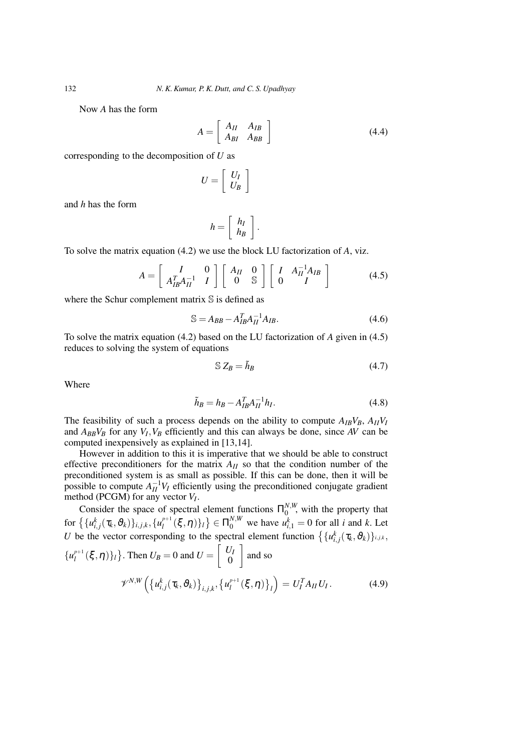Now *A* has the form

$$
A = \left[ \begin{array}{cc} A_{II} & A_{IB} \\ A_{BI} & A_{BB} \end{array} \right] \tag{4.4}
$$

corresponding to the decomposition of *U* as

$$
U=\left[\begin{array}{c} U_I \\ U_B \end{array}\right]
$$

and *h* has the form

$$
h=\left[\begin{array}{c}h_I\\h_B\end{array}\right].
$$

To solve the matrix equation (4.2) we use the block LU factorization of *A*, viz.

$$
A = \begin{bmatrix} I & 0 \\ A_{IB}^T A_{II}^{-1} & I \end{bmatrix} \begin{bmatrix} A_{II} & 0 \\ 0 & \mathbb{S} \end{bmatrix} \begin{bmatrix} I & A_{II}^{-1} A_{IB} \\ 0 & I \end{bmatrix}
$$
 (4.5)

where the Schur complement matrix  $\Im$  is defined as

$$
S = A_{BB} - A_{IB}^T A_{II}^{-1} A_{IB}.
$$
 (4.6)

To solve the matrix equation (4.2) based on the LU factorization of *A* given in (4.5) reduces to solving the system of equations

$$
\mathbb{S}Z_B = \tilde{h}_B \tag{4.7}
$$

Where

$$
\tilde{h}_B = h_B - A_{IB}^T A_{II}^{-1} h_I.
$$
\n(4.8)

The feasibility of such a process depends on the ability to compute  $A_{IB}V_B$ ,  $A_{II}V_I$ and  $A_{BB}V_B$  for any  $V_I$ ,  $V_B$  efficiently and this can always be done, since AV can be computed inexpensively as explained in [13,14].

However in addition to this it is imperative that we should be able to construct effective preconditioners for the matrix  $A_{II}$  so that the condition number of the preconditioned system is as small as possible. If this can be done, then it will be possible to compute  $A_{II}^{-1}V_I$  efficiently using the preconditioned conjugate gradient method (PCGM) for any vector *V<sup>I</sup>* .

Consider the space of spectral element functions  $\Pi_0^{N,W}$  $\int_0^{N,\mathcal{W}}$ , with the property that for  $\{u_{i,j}^k(\tau_k, \vartheta_k)\}_{i,j,k}, \{u_l^{p+1}(\xi, \eta)\}_l\} \in \Pi_0^{N,W}$  we have  $u_{i,1}^k = 0$  for all i and k. Let *U* be the vector corresponding to the spectral element function  $\{u_{i,j}^k(\tau_k, \vartheta_k)\}_{i,j,k}$ ,  $\{u_l^{p+1}(\xi, \eta)\}_l\}$ . Then  $U_B = 0$  and  $U =$  $\left[\begin{array}{c}$ *U<sub>I</sub>* 0 1 and so  $\mathcal{V}^{N,W}\left(\left\{u_{i,j}^{k}(\tau_k,\vartheta_k)\right\}_{i,j,k},\left\{u_{l}^{p+1}(\xi,\eta)\right\}_{l,k}$  $\bigg) = U_I^T A_{II} U_I$  $(4.9)$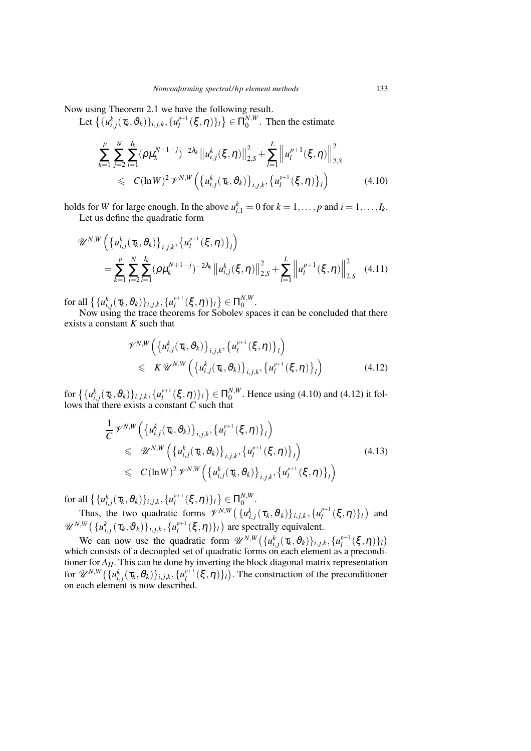Now using Theorem 2.1 we have the following result.

 $\text{Let } \big\{ \{u_{i,j}^k(\tau_k,\vartheta_k) \}_{i,j,k}, \{u_l^{p+1}(\xi,\eta)\}_l \big\} \in \Pi_0^{N,W}$  $0^{N,W}$ . Then the estimate

$$
\sum_{k=1}^{p} \sum_{j=2}^{N} \sum_{i=1}^{I_k} (\rho \mu_k^{N+1-j})^{-2\lambda_k} ||u_{i,j}^k(\xi, \eta)||_{2, S}^2 + \sum_{l=1}^{L} ||u_l^{p+1}(\xi, \eta)||_{2, S}^2
$$
  

$$
\leq C(\ln W)^2 \mathcal{V}^{N,W} \left( \{u_{i,j}^k(\tau_k, \vartheta_k)\}_{i,j,k}, \{u_l^{p+1}(\xi, \eta)\}_l \right)
$$
(4.10)

holds for *W* for large enough. In the above  $u_{i,1}^k = 0$  for  $k = 1, \ldots, p$  and  $i = 1, \ldots, I_k$ . Let us define the quadratic form

$$
\mathscr{U}^{N,W}\left(\left\{u_{i,j}^{k}(\tau_{k},\vartheta_{k})\right\}_{i,j,k},\left\{u_{l}^{p+1}(\xi,\eta)\right\}_{l}\right) =\sum_{k=1}^{p}\sum_{j=2}^{N}\sum_{i=1}^{I_{k}}(\rho\mu_{k}^{N+1-j})^{-2\lambda_{k}}\left\|u_{i,j}^{k}(\xi,\eta)\right\|_{2,S}^{2}+\sum_{l=1}^{L}\left\|u_{l}^{p+1}(\xi,\eta)\right\|_{2,S}^{2}
$$
(4.11)

 $\text{for all } \big\{ \{ u_{i,j}^{k}(\tau_{k},\vartheta_{k}) \}_{i,j,k}, \{ u_{l}^{p+1}(\xi,\eta) \}_{l} \big\} \in \Pi_{0}^{N,W}$  $\begin{array}{c} \n0^{N,W} \cdot \n\end{array}$ 

Now using the trace theorems for Sobolev spaces it can be concluded that there exists a constant *K* such that

$$
\mathscr{V}^{N,W}\left(\left\{u_{i,j}^k(\tau_k,\vartheta_k)\right\}_{i,j,k},\left\{u_l^{p+1}(\xi,\eta)\right\}_l\right) \leqslant K\mathscr{U}^{N,W}\left(\left\{u_{i,j}^k(\tau_k,\vartheta_k)\right\}_{i,j,k},\left\{u_l^{p+1}(\xi,\eta)\right\}_l\right) \tag{4.12}
$$

 $\text{for } \big\{ \{ u_{i,j}^{k}(\tau_k,\vartheta_k) \}_{i,j,k}, \{ u_l^{p+1}(\xi,\eta) \}_l \big\} \in \Pi_0^{N,W}$  $_{0}^{N,W}$ . Hence using (4.10) and (4.12) it follows that there exists a constant *C* such that

$$
\frac{1}{C} \mathcal{V}^{N,W}\left(\left\{u_{i,j}^k(\tau_k,\vartheta_k)\right\}_{i,j,k},\left\{u_l^{p+1}(\xi,\eta)\right\}_l\right) \leq \mathcal{U}^{N,W}\left(\left\{u_{i,j}^k(\tau_k,\vartheta_k)\right\}_{i,j,k},\left\{u_l^{p+1}(\xi,\eta)\right\}_l\right) \leq C(\ln W)^2 \mathcal{V}^{N,W}\left(\left\{u_{i,j}^k(\tau_k,\vartheta_k)\right\}_{i,j,k},\left\{u_l^{p+1}(\xi,\eta)\right\}_l\right) \tag{4.13}
$$

 $\text{for all } \big\{ \{ u_{i,j}^{k}(\tau_{k},\vartheta_{k}) \}_{i,j,k}, \{ u_{l}^{p+1}(\xi,\eta) \}_{l} \big\} \in \Pi_{0}^{N,W}$  $\begin{array}{c} \n0^{11} \cdot \n\end{array}$ 

Thus, the two quadratic forms  $\mathcal{V}^{N,W}(\{u_{i,j}^k(\tau_k,\vartheta_k)\}_{i,j,k}, \{u_l^{p+1}(\xi,\eta)\}_l)$  and  $\mathscr{U}^{N,W}(\lbrace u_{i,j}^k(\tau_k,\vartheta_k)\rbrace_{i,j,k}, \lbrace u_l^{p+1}(\xi,\eta)\rbrace_l)$  are spectrally equivalent.

We can now use the quadratic form  $\mathcal{U}^{N,W}(\lbrace u_{i,j}^k(\tau_k,\vartheta_k)\rbrace_{i,j,k}, \lbrace u_l^{p+1}(\xi,\eta)\rbrace_l)$ which consists of a decoupled set of quadratic forms on each element as a preconditioner for *AII*. This can be done by inverting the block diagonal matrix representation for  $\mathcal{U}^{N,W}(\{u_{i,j}^k(\tau_k,\vartheta_k)\}_{i,j,k}, \{u_l^{p+1}(\xi,\eta)\}_l)$ . The construction of the preconditioner on each element is now described.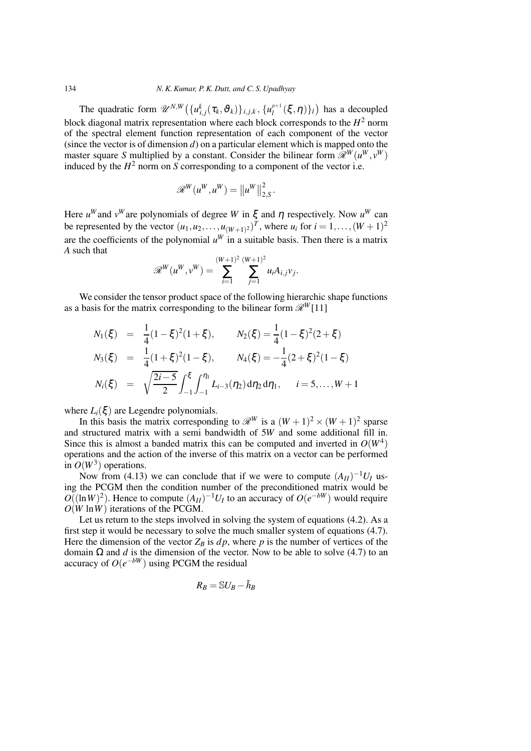The quadratic form  $\mathscr{U}^{N,W}(\{u_{i,j}^k(\tau_k,\vartheta_k)\}_{i,j,k}, \{u_l^{p+1}(\xi,\eta)\}_l)$  has a decoupled block diagonal matrix representation where each block corresponds to the *H* <sup>2</sup> norm of the spectral element function representation of each component of the vector (since the vector is of dimension *d*) on a particular element which is mapped onto the master square *S* multiplied by a constant. Consider the bilinear form  $\hat{\mathcal{R}}^W(u^W, v^W)$ induced by the  $H^2$  norm on *S* corresponding to a component of the vector i.e.

$$
\mathscr{R}^W(u^W,u^W)=\big\|u^W\big\|_{2,S}^2.
$$

Here  $u^W$  and  $v^W$  are polynomials of degree W in  $\xi$  and  $\eta$  respectively. Now  $u^W$  can be represented by the vector  $(u_1, u_2, \dots, u_{(W+1)^2})^T$ , where  $u_i$  for  $i = 1, \dots, (W+1)^2$ are the coefficients of the polynomial  $u^W$  in a suitable basis. Then there is a matrix *A* such that

$$
\mathscr{R}^{W}(u^{W},v^{W}) = \sum_{i=1}^{(W+1)^{2}} \sum_{j=1}^{(W+1)^{2}} u_{i}A_{i,j}v_{j}.
$$

We consider the tensor product space of the following hierarchic shape functions as a basis for the matrix corresponding to the bilinear form  $\mathcal{R}^W[11]$ 

$$
N_1(\xi) = \frac{1}{4}(1-\xi)^2(1+\xi), \qquad N_2(\xi) = \frac{1}{4}(1-\xi)^2(2+\xi)
$$
  
\n
$$
N_3(\xi) = \frac{1}{4}(1+\xi)^2(1-\xi), \qquad N_4(\xi) = -\frac{1}{4}(2+\xi)^2(1-\xi)
$$
  
\n
$$
N_i(\xi) = \sqrt{\frac{2i-5}{2}} \int_{-1}^{\xi} \int_{-1}^{\eta_1} L_{i-3}(\eta_2) d\eta_2 d\eta_1, \qquad i = 5,...,W+1
$$

where  $L_i(\xi)$  are Legendre polynomials.

In this basis the matrix corresponding to  $\mathcal{R}^W$  is a  $(W+1)^2 \times (W+1)^2$  sparse and structured matrix with a semi bandwidth of 5*W* and some additional fill in. Since this is almost a banded matrix this can be computed and inverted in  $O(W^4)$ operations and the action of the inverse of this matrix on a vector can be performed in  $O(W^3)$  operations.

Now from (4.13) we can conclude that if we were to compute  $(A_{II})^{-1}U_I$  using the PCGM then the condition number of the preconditioned matrix would be  $O((\ln W)^2)$ . Hence to compute  $(A_{II})^{-1}U_I$  to an accuracy of  $O(e^{-bW})$  would require *O*(*W* ln*W*) iterations of the PCGM.

Let us return to the steps involved in solving the system of equations (4.2). As a first step it would be necessary to solve the much smaller system of equations (4.7). Here the dimension of the vector  $Z_B$  is  $dp$ , where p is the number of vertices of the domain Ω and *d* is the dimension of the vector. Now to be able to solve (4.7) to an accuracy of  $O(e^{-bW})$  using PCGM the residual

$$
R_B = \mathbb{S}U_B - \tilde{h}_B
$$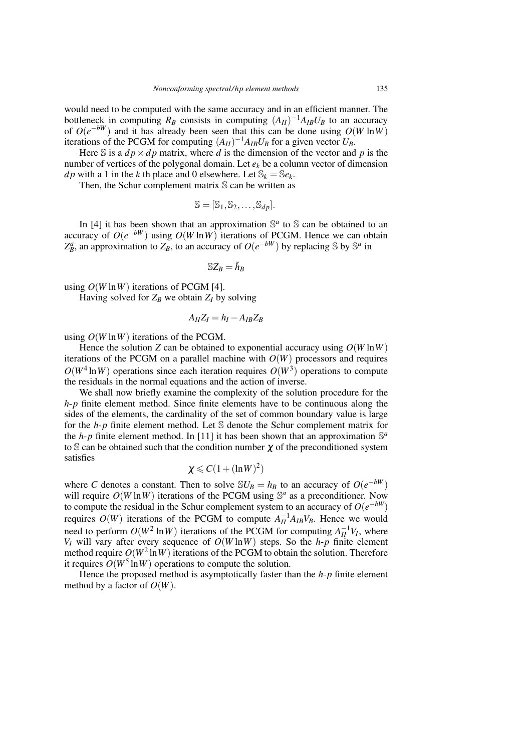would need to be computed with the same accuracy and in an efficient manner. The bottleneck in computing  $R_B$  consists in computing  $(A_{II})^{-1}A_{IB}U_B$  to an accuracy of  $O(e^{-bW})$  and it has already been seen that this can be done using  $O(W \ln W)$ iterations of the PCGM for computing  $(A_{II})^{-1}A_{IB}U_B$  for a given vector  $U_B$ .

Here S is a  $dp \times dp$  matrix, where *d* is the dimension of the vector and *p* is the number of vertices of the polygonal domain. Let  $e_k$  be a column vector of dimension *dp* with a 1 in the *k* th place and 0 elsewhere. Let  $\mathbb{S}_k = \mathbb{S}e_k$ .

Then, the Schur complement matrix  $S$  can be written as

$$
\mathbb{S} = [\mathbb{S}_1, \mathbb{S}_2, \dots, \mathbb{S}_{dp}].
$$

In [4] it has been shown that an approximation  $\mathbb{S}^a$  to  $\mathbb S$  can be obtained to an accuracy of  $O(e^{-bW})$  using  $O(W \ln W)$  iterations of PCGM. Hence we can obtain  $Z_B^a$ , an approximation to  $Z_B$ , to an accuracy of  $O(e^{-bW})$  by replacing S by S<sup>*a*</sup> in

$$
\mathbb{S} Z_B = \tilde{h}_B
$$

using  $O(W \ln W)$  iterations of PCGM [4].

Having solved for  $Z_B$  we obtain  $Z_I$  by solving

$$
A_{II}Z_I = h_I - A_{IB}Z_B
$$

using *O*(*W* ln*W*) iterations of the PCGM.

Hence the solution *Z* can be obtained to exponential accuracy using  $O(W \ln W)$ iterations of the PCGM on a parallel machine with  $O(W)$  processors and requires  $O(W^4 \ln W)$  operations since each iteration requires  $O(W^3)$  operations to compute the residuals in the normal equations and the action of inverse.

We shall now briefly examine the complexity of the solution procedure for the *h*-*p* finite element method. Since finite elements have to be continuous along the sides of the elements, the cardinality of the set of common boundary value is large for the *h*-*p* finite element method. Let S denote the Schur complement matrix for the *h*-*p* finite element method. In [11] it has been shown that an approximation  $\mathbb{S}^a$ to S can be obtained such that the condition number  $\chi$  of the preconditioned system satisfies

$$
\chi \leqslant C(1 + (\ln W)^2)
$$

where *C* denotes a constant. Then to solve  $\mathbb{S}U_B = h_B$  to an accuracy of  $O(e^{-bW})$ will require  $O(W \ln W)$  iterations of the PCGM using  $\mathbb{S}^a$  as a preconditioner. Now to compute the residual in the Schur complement system to an accuracy of  $O(e^{-bW})$ requires  $O(W)$  iterations of the PCGM to compute  $A_{II}^{-1}A_{IB}V_B$ . Hence we would need to perform  $O(W^2 \ln W)$  iterations of the PCGM for computing  $A_{II}^{-1}V_I$ , where *V<sub>I</sub>* will vary after every sequence of  $O(W \ln W)$  steps. So the *h*-*p* finite element method require  $O(W^2 \ln W)$  iterations of the PCGM to obtain the solution. Therefore it requires  $O(W^5 \ln W)$  operations to compute the solution.

Hence the proposed method is asymptotically faster than the *h*-*p* finite element method by a factor of  $O(W)$ .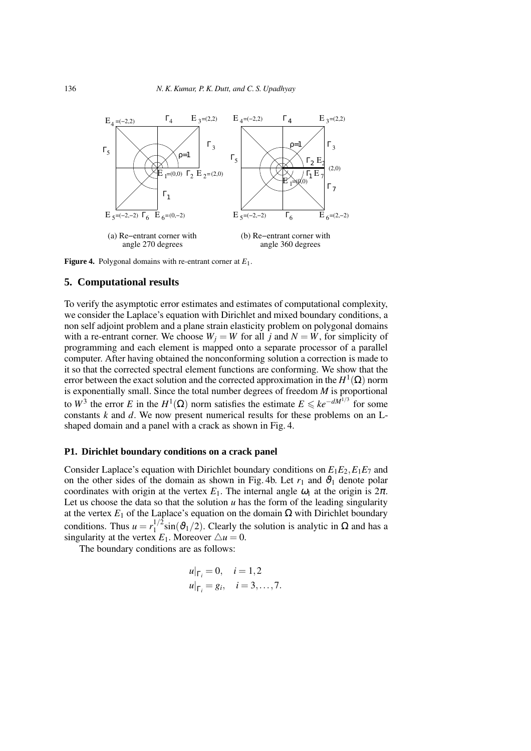

**Figure 4.** Polygonal domains with re-entrant corner at *E*1.

#### **5. Computational results**

To verify the asymptotic error estimates and estimates of computational complexity, we consider the Laplace's equation with Dirichlet and mixed boundary conditions, a non self adjoint problem and a plane strain elasticity problem on polygonal domains with a re-entrant corner. We choose  $W_j = W$  for all *j* and  $N = W$ , for simplicity of programming and each element is mapped onto a separate processor of a parallel computer. After having obtained the nonconforming solution a correction is made to it so that the corrected spectral element functions are conforming. We show that the error between the exact solution and the corrected approximation in the  $H^1(\Omega)$  norm is exponentially small. Since the total number degrees of freedom *M* is proportional to  $W^3$  the error *E* in the  $H^1(\Omega)$  norm satisfies the estimate  $E \leq k e^{-dM^{1/3}}$  for some constants *k* and *d*. We now present numerical results for these problems on an Lshaped domain and a panel with a crack as shown in Fig. 4.

#### **P1. Dirichlet boundary conditions on a crack panel**

Consider Laplace's equation with Dirichlet boundary conditions on  $E_1E_2, E_1E_7$  and on the other sides of the domain as shown in Fig. 4b. Let  $r_1$  and  $\vartheta_1$  denote polar coordinates with origin at the vertex  $E_1$ . The internal angle  $\omega_1$  at the origin is  $2\pi$ . Let us choose the data so that the solution  $u$  has the form of the leading singularity at the vertex  $E_1$  of the Laplace's equation on the domain  $Ω$  with Dirichlet boundary conditions. Thus  $u = r_1^{1/2}$  $\int_1^{1/2} \sin(\vartheta_1/2)$ . Clearly the solution is analytic in  $\Omega$  and has a singularity at the vertex  $E_1$ . Moreover  $\triangle u = 0$ .

The boundary conditions are as follows:

$$
u|_{\Gamma_i} = 0, \quad i = 1, 2
$$
  
 $u|_{\Gamma_i} = g_i, \quad i = 3, ..., 7.$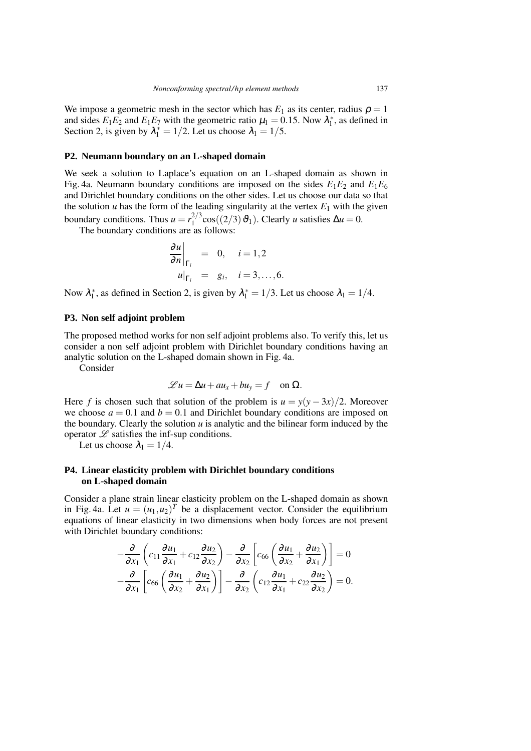We impose a geometric mesh in the sector which has  $E_1$  as its center, radius  $\rho = 1$ and sides  $E_1 E_2$  and  $E_1 E_7$  with the geometric ratio  $\mu_1 = 0.15$ . Now  $\lambda_1^*$ , as defined in Section 2, is given by  $\lambda_1^* = 1/2$ . Let us choose  $\lambda_1 = 1/5$ .

#### **P2. Neumann boundary on an L-shaped domain**

We seek a solution to Laplace's equation on an L-shaped domain as shown in Fig. 4a. Neumann boundary conditions are imposed on the sides  $E_1E_2$  and  $E_1E_6$ and Dirichlet boundary conditions on the other sides. Let us choose our data so that the solution  $u$  has the form of the leading singularity at the vertex  $E_1$  with the given boundary conditions. Thus  $u = r_1^{2/3}$  $\int_1^{2/3} \cos((2/3) \vartheta_1)$ . Clearly *u* satisfies  $\Delta u = 0$ .

The boundary conditions are as follows:

$$
\left.\begin{array}{lcl}\n\frac{\partial u}{\partial n}\Big|_{\Gamma_i} & = & 0, \quad i = 1,2 \\
u|_{\Gamma_i} & = & g_i, \quad i = 3, \dots, 6.\n\end{array}\right.
$$

Now  $\lambda_1^*$ , as defined in Section 2, is given by  $\lambda_1^* = 1/3$ . Let us choose  $\lambda_1 = 1/4$ .

#### **P3. Non self adjoint problem**

The proposed method works for non self adjoint problems also. To verify this, let us consider a non self adjoint problem with Dirichlet boundary conditions having an analytic solution on the L-shaped domain shown in Fig. 4a.

Consider

$$
\mathscr{L} u = \Delta u + a u_x + b u_y = f \quad \text{on } \Omega.
$$

Here *f* is chosen such that solution of the problem is  $u = y(y - 3x)/2$ . Moreover we choose  $a = 0.1$  and  $b = 0.1$  and Dirichlet boundary conditions are imposed on the boundary. Clearly the solution  $u$  is analytic and the bilinear form induced by the operator  $\mathscr L$  satisfies the inf-sup conditions.

Let us choose  $\lambda_1 = 1/4$ .

## **P4. Linear elasticity problem with Dirichlet boundary conditions on L-shaped domain**

Consider a plane strain linear elasticity problem on the L-shaped domain as shown in Fig. 4a. Let  $u = (u_1, u_2)^T$  be a displacement vector. Consider the equilibrium equations of linear elasticity in two dimensions when body forces are not present with Dirichlet boundary conditions:

$$
-\frac{\partial}{\partial x_1} \left( c_{11} \frac{\partial u_1}{\partial x_1} + c_{12} \frac{\partial u_2}{\partial x_2} \right) - \frac{\partial}{\partial x_2} \left[ c_{66} \left( \frac{\partial u_1}{\partial x_2} + \frac{\partial u_2}{\partial x_1} \right) \right] = 0
$$
  

$$
-\frac{\partial}{\partial x_1} \left[ c_{66} \left( \frac{\partial u_1}{\partial x_2} + \frac{\partial u_2}{\partial x_1} \right) \right] - \frac{\partial}{\partial x_2} \left( c_{12} \frac{\partial u_1}{\partial x_1} + c_{22} \frac{\partial u_2}{\partial x_2} \right) = 0.
$$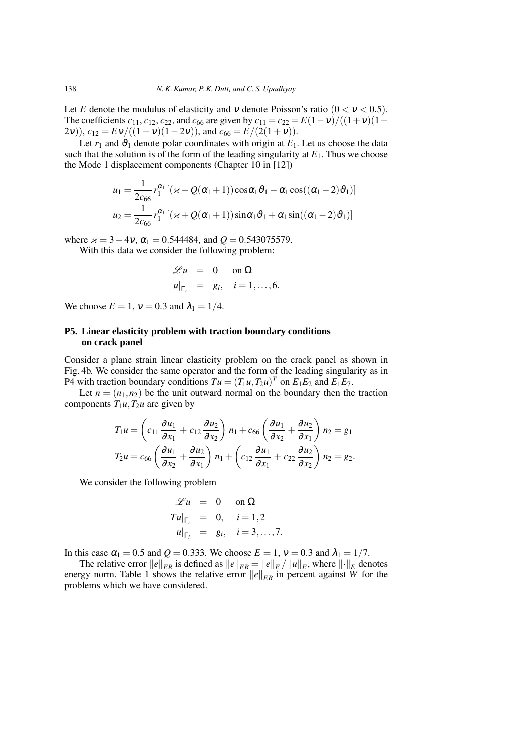Let *E* denote the modulus of elasticity and v denote Poisson's ratio  $(0 < v < 0.5)$ . The coefficients  $c_{11}$ ,  $c_{12}$ ,  $c_{22}$ , and  $c_{66}$  are given by  $c_{11} = c_{22} = E(1 - v)/((1 + v)(1 -$ 2*v*)),  $c_{12} = Ev/((1+v)(1-2v))$ , and  $c_{66} = E/(2(1+v))$ .

Let  $r_1$  and  $\vartheta_1$  denote polar coordinates with origin at  $E_1$ . Let us choose the data such that the solution is of the form of the leading singularity at  $E_1$ . Thus we choose the Mode 1 displacement components (Chapter 10 in [12])

$$
u_1 = \frac{1}{2c_{66}} r_1^{\alpha_1} \left[ (\varkappa - Q(\alpha_1 + 1)) \cos \alpha_1 \vartheta_1 - \alpha_1 \cos((\alpha_1 - 2)\vartheta_1) \right]
$$
  

$$
u_2 = \frac{1}{2c_{66}} r_1^{\alpha_1} \left[ (\varkappa + Q(\alpha_1 + 1)) \sin \alpha_1 \vartheta_1 + \alpha_1 \sin((\alpha_1 - 2)\vartheta_1) \right]
$$

where  $x = 3 - 4v$ ,  $\alpha_1 = 0.544484$ , and  $Q = 0.543075579$ .

With this data we consider the following problem:

$$
\mathscr{L}u = 0 \quad \text{on } \Omega
$$
  

$$
u|_{\Gamma_i} = g_i, \quad i = 1, ..., 6.
$$

We choose  $E = 1$ ,  $v = 0.3$  and  $\lambda_1 = 1/4$ .

#### **P5. Linear elasticity problem with traction boundary conditions on crack panel**

Consider a plane strain linear elasticity problem on the crack panel as shown in Fig. 4b. We consider the same operator and the form of the leading singularity as in P4 with traction boundary conditions  $Tu = (T_1u, T_2u)^T$  on  $E_1E_2$  and  $E_1E_7$ .

Let  $n = (n_1, n_2)$  be the unit outward normal on the boundary then the traction components  $T_1u$ ,  $T_2u$  are given by

$$
T_1u = \left(c_{11}\frac{\partial u_1}{\partial x_1} + c_{12}\frac{\partial u_2}{\partial x_2}\right) n_1 + c_{66} \left(\frac{\partial u_1}{\partial x_2} + \frac{\partial u_2}{\partial x_1}\right) n_2 = g_1
$$
  

$$
T_2u = c_{66} \left(\frac{\partial u_1}{\partial x_2} + \frac{\partial u_2}{\partial x_1}\right) n_1 + \left(c_{12}\frac{\partial u_1}{\partial x_1} + c_{22}\frac{\partial u_2}{\partial x_2}\right) n_2 = g_2.
$$

We consider the following problem

$$
\mathcal{L}u = 0 \quad \text{on } \Omega
$$
  
\n
$$
Tu|_{\Gamma_i} = 0, \quad i = 1, 2
$$
  
\n
$$
u|_{\Gamma_i} = g_i, \quad i = 3, ..., 7.
$$

In this case  $\alpha_1 = 0.5$  and  $Q = 0.333$ . We choose  $E = 1$ ,  $v = 0.3$  and  $\lambda_1 = 1/7$ .

The relative error  $\|e\|_{ER}$  is defined as  $\|e\|_{ER} = \|e\|_E / \|u\|_E$ , where  $\|\cdot\|_E$  denotes energy norm. Table 1 shows the relative error  $||e||_{ER}$  in percent against *W* for the problems which we have considered.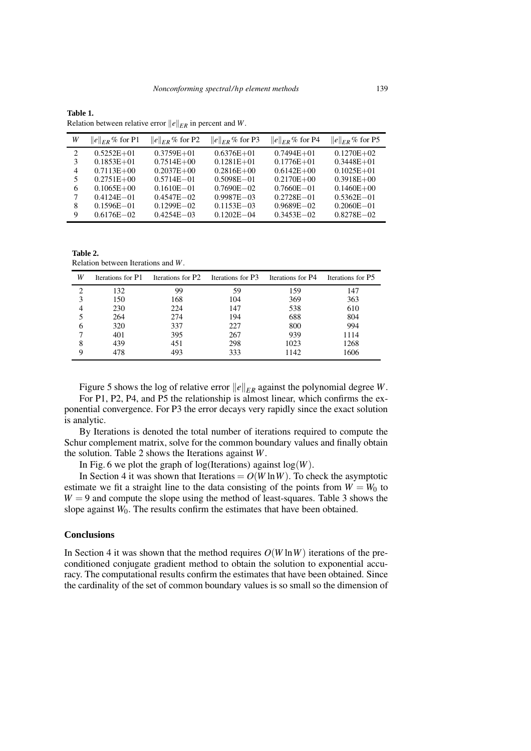**Table 1.** Relation between relative error  $||e||_{ER}$  in percent and *W*.

| W                           | $  e  _{ER}$ % for P1 | $  e  _{ER}$ % for P2 | $  e  _{ER}$ % for P3 | $  e  _{ER}$ % for P4 | $  e  _{ER}$ % for P5 |
|-----------------------------|-----------------------|-----------------------|-----------------------|-----------------------|-----------------------|
| $\mathcal{D}_{\mathcal{L}}$ | $0.5252E + 01$        | $0.3759E + 01$        | $0.6376E + 01$        | $0.7494E + 01$        | $0.1270E + 02$        |
| 3                           | $0.1853E + 01$        | $0.7514E + 00$        | $0.1281E + 01$        | $0.1776E + 01$        | $0.3448E + 01$        |
| 4                           | $0.7113E + 00$        | $0.2037E + 00$        | $0.2816E + 00$        | $0.6142E + 00$        | $0.1025E + 01$        |
| 5                           | $0.2751E + 00$        | $0.5714E - 01$        | $0.5098E - 01$        | $0.2170E + 00$        | $0.3918E + 00$        |
| 6                           | $0.1065E + 00$        | $0.1610E - 01$        | $0.7690E - 02$        | $0.7660E - 01$        | $0.1460E + 00$        |
|                             | $0.4124E - 01$        | $0.4547E - 02$        | $0.9987E - 03$        | $0.2728E - 01$        | $0.5362E - 01$        |
| 8                           | $0.1596E - 01$        | $0.1299E - 02$        | $0.1153E - 03$        | $0.9689E - 02$        | $0.2060E - 01$        |
| 9                           | $0.6176E - 02$        | $0.4254E - 03$        | $0.1202E - 04$        | $0.3453E - 02$        | $0.8278E - 02$        |

**Table 2.** Relation between Iterations and *W*.

| W | Iterations for P1 |     | Iterations for $P2$ Iterations for $P3$ | Iterations for P4 | Iterations for P5 |
|---|-------------------|-----|-----------------------------------------|-------------------|-------------------|
| ာ | 132               | 99  | 59                                      | 159               | 147               |
|   | 150               | 168 | 104                                     | 369               | 363               |
| 4 | 230               | 224 | 147                                     | 538               | 610               |
|   | 264               | 274 | 194                                     | 688               | 804               |
| b | 320               | 337 | 227                                     | 800               | 994               |
|   | 401               | 395 | 267                                     | 939               | 1114              |
| 8 | 439               | 451 | 298                                     | 1023              | 1268              |
|   | 478               | 493 | 333                                     | 1142              | 1606              |

Figure 5 shows the log of relative error  $\|e\|_{ER}$  against the polynomial degree *W*.

For P1, P2, P4, and P5 the relationship is almost linear, which confirms the exponential convergence. For P3 the error decays very rapidly since the exact solution is analytic.

By Iterations is denoted the total number of iterations required to compute the Schur complement matrix, solve for the common boundary values and finally obtain the solution. Table 2 shows the Iterations against *W*.

In Fig. 6 we plot the graph of  $log(Iterations)$  against  $log(W)$ .

In Section 4 it was shown that Iterations  $= O(W \ln W)$ . To check the asymptotic estimate we fit a straight line to the data consisting of the points from  $W = W_0$  to *W* = 9 and compute the slope using the method of least-squares. Table 3 shows the slope against  $W_0$ . The results confirm the estimates that have been obtained.

#### **Conclusions**

In Section 4 it was shown that the method requires  $O(W \ln W)$  iterations of the preconditioned conjugate gradient method to obtain the solution to exponential accuracy. The computational results confirm the estimates that have been obtained. Since the cardinality of the set of common boundary values is so small so the dimension of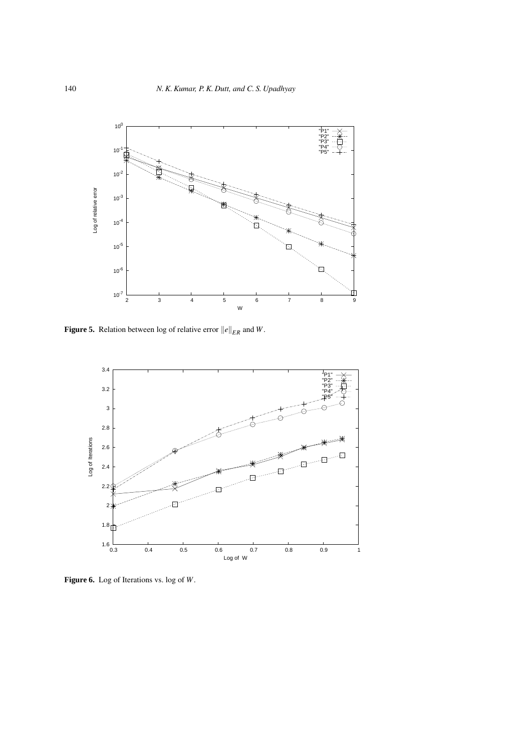

**Figure 5.** Relation between log of relative error  $||e||_{ER}$  and *W*.



**Figure 6.** Log of Iterations vs. log of *W*.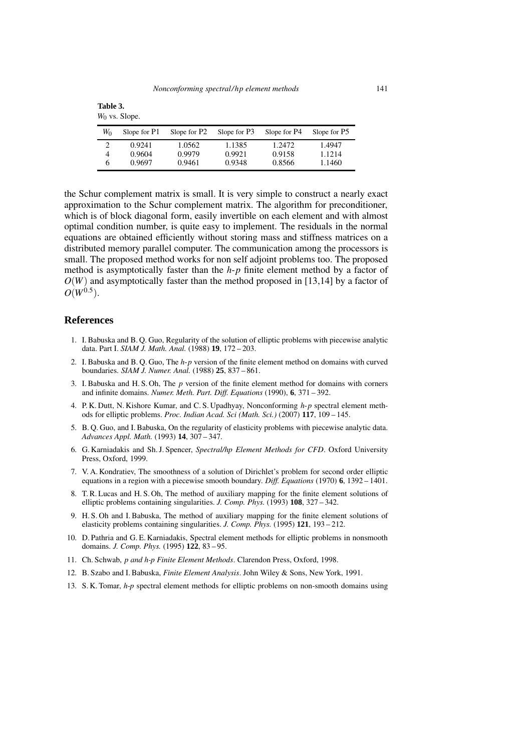| $W_0$ | Slope for P1 | Slope for P2 | Slope for P3 | Slope for P4 | Slope for P5 |
|-------|--------------|--------------|--------------|--------------|--------------|
|       | 0.9241       | 1.0562       | 1.1385       | 1.2472       | 1.4947       |
| 4     | 0.9604       | 0.9979       | 0.9921       | 0.9158       | 1.1214       |
| h     | 0.9697       | 0.9461       | 0.9348       | 0.8566       | 1.1460       |

the Schur complement matrix is small. It is very simple to construct a nearly exact approximation to the Schur complement matrix. The algorithm for preconditioner, which is of block diagonal form, easily invertible on each element and with almost optimal condition number, is quite easy to implement. The residuals in the normal equations are obtained efficiently without storing mass and stiffness matrices on a distributed memory parallel computer. The communication among the processors is small. The proposed method works for non self adjoint problems too. The proposed method is asymptotically faster than the *h*-*p* finite element method by a factor of  $O(W)$  and asymptotically faster than the method proposed in [13,14] by a factor of  $O(W^{0.5})$ .

# **References**

- 1. I. Babuska and B. Q. Guo, Regularity of the solution of elliptic problems with piecewise analytic data. Part I. *SIAM J. Math. Anal.* (1988) **19**, 172 – 203.
- 2. I. Babuska and B. Q. Guo, The *h*-*p* version of the finite element method on domains with curved boundaries. *SIAM J. Numer. Anal.* (1988) **25**, 837 – 861.
- 3. I. Babuska and H. S. Oh, The *p* version of the finite element method for domains with corners and infinite domains. *Numer. Meth. Part. Diff. Equations* (1990), **6**, 371 – 392.
- 4. P. K. Dutt, N. Kishore Kumar, and C. S. Upadhyay, Nonconforming *h*-*p* spectral element methods for elliptic problems. *Proc. Indian Acad. Sci (Math. Sci.)* (2007) **117**, 109 – 145.
- 5. B. Q. Guo, and I. Babuska, On the regularity of elasticity problems with piecewise analytic data. *Advances Appl. Math.* (1993) **14**, 307 – 347.
- 6. G. Karniadakis and Sh. J. Spencer, *Spectral/hp Element Methods for CFD*. Oxford University Press, Oxford, 1999.
- 7. V. A. Kondratiev, The smoothness of a solution of Dirichlet's problem for second order elliptic equations in a region with a piecewise smooth boundary. *Diff. Equations* (1970) **6**, 1392 – 1401.
- 8. T. R. Lucas and H. S. Oh, The method of auxiliary mapping for the finite element solutions of elliptic problems containing singularities. *J. Comp. Phys.* (1993) **108**, 327 – 342.
- 9. H. S. Oh and I. Babuska, The method of auxiliary mapping for the finite element solutions of elasticity problems containing singularities. *J. Comp. Phys.* (1995) **121**, 193 – 212.
- 10. D. Pathria and G. E. Karniadakis, Spectral element methods for elliptic problems in nonsmooth domains. *J. Comp. Phys.* (1995) **122**, 83 – 95.
- 11. Ch. Schwab, *p and h-p Finite Element Methods*. Clarendon Press, Oxford, 1998.
- 12. B. Szabo and I. Babuska, *Finite Element Analysis*. John Wiley & Sons, New York, 1991.
- 13. S. K. Tomar, *h*-*p* spectral element methods for elliptic problems on non-smooth domains using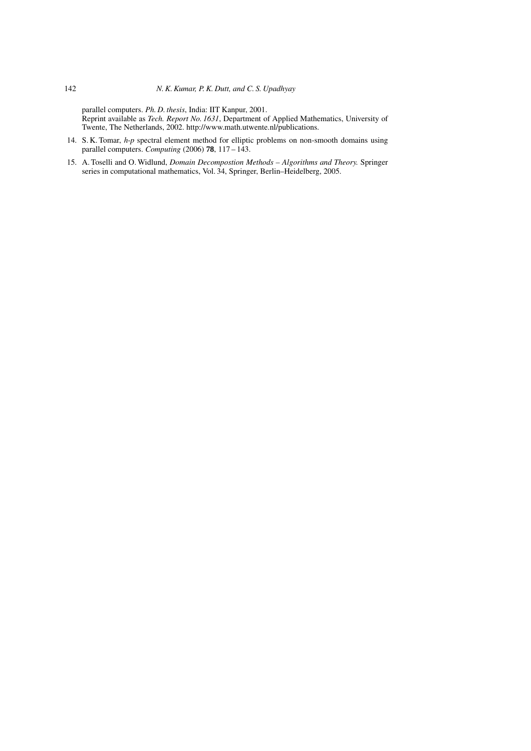parallel computers. *Ph. D. thesis*, India: IIT Kanpur, 2001. Reprint available as *Tech. Report No. 1631*, Department of Applied Mathematics, University of Twente, The Netherlands, 2002. http://www.math.utwente.nl/publications.

- 14. S. K. Tomar, *h*-*p* spectral element method for elliptic problems on non-smooth domains using parallel computers. *Computing* (2006) **78**, 117 – 143.
- 15. A. Toselli and O. Widlund, *Domain Decompostion Methods Algorithms and Theory.* Springer series in computational mathematics, Vol. 34, Springer, Berlin–Heidelberg, 2005.